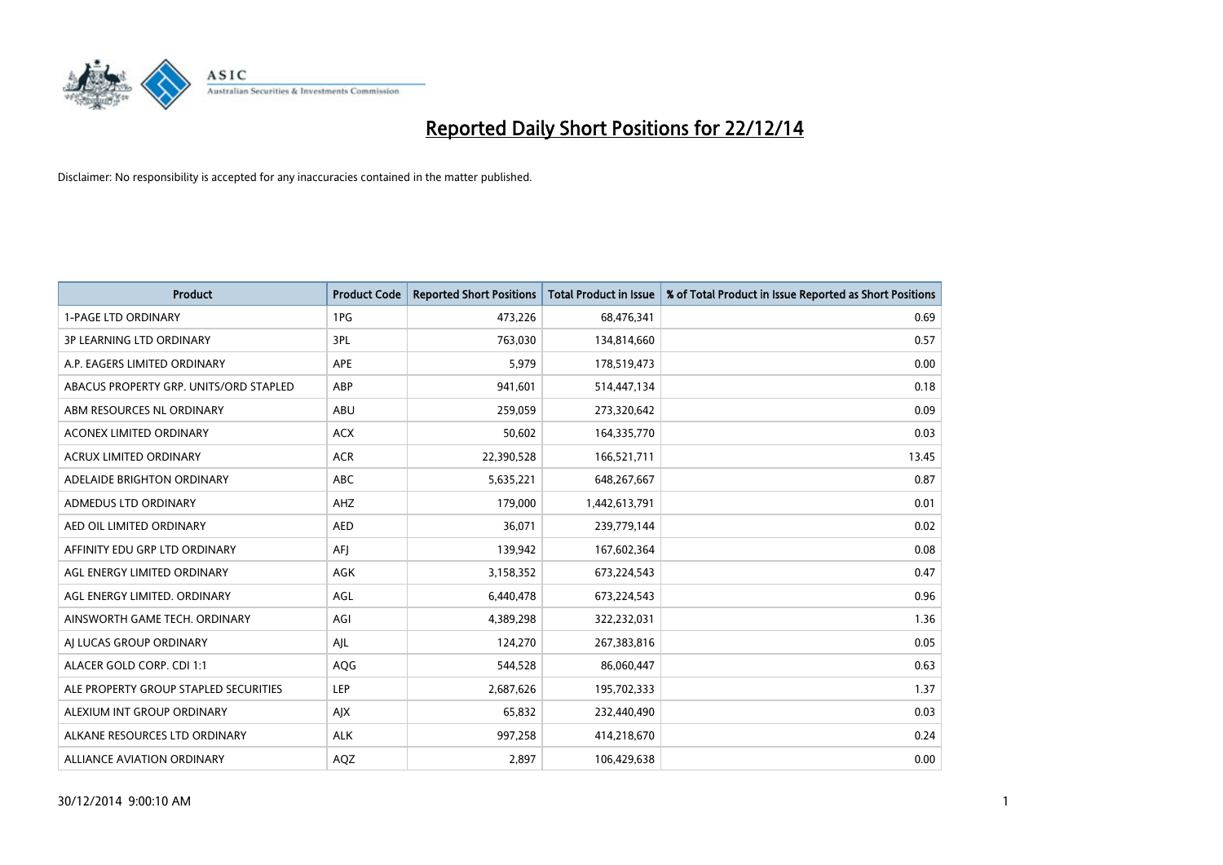

| <b>Product</b>                         | <b>Product Code</b> | <b>Reported Short Positions</b> | <b>Total Product in Issue</b> | % of Total Product in Issue Reported as Short Positions |
|----------------------------------------|---------------------|---------------------------------|-------------------------------|---------------------------------------------------------|
| <b>1-PAGE LTD ORDINARY</b>             | 1PG                 | 473,226                         | 68,476,341                    | 0.69                                                    |
| 3P LEARNING LTD ORDINARY               | 3PL                 | 763,030                         | 134,814,660                   | 0.57                                                    |
| A.P. EAGERS LIMITED ORDINARY           | APE                 | 5,979                           | 178,519,473                   | 0.00                                                    |
| ABACUS PROPERTY GRP. UNITS/ORD STAPLED | ABP                 | 941,601                         | 514,447,134                   | 0.18                                                    |
| ABM RESOURCES NL ORDINARY              | ABU                 | 259,059                         | 273,320,642                   | 0.09                                                    |
| ACONEX LIMITED ORDINARY                | <b>ACX</b>          | 50,602                          | 164,335,770                   | 0.03                                                    |
| ACRUX LIMITED ORDINARY                 | <b>ACR</b>          | 22,390,528                      | 166,521,711                   | 13.45                                                   |
| ADELAIDE BRIGHTON ORDINARY             | ABC                 | 5,635,221                       | 648,267,667                   | 0.87                                                    |
| ADMEDUS LTD ORDINARY                   | AHZ                 | 179,000                         | 1,442,613,791                 | 0.01                                                    |
| AED OIL LIMITED ORDINARY               | <b>AED</b>          | 36,071                          | 239,779,144                   | 0.02                                                    |
| AFFINITY EDU GRP LTD ORDINARY          | AFJ                 | 139,942                         | 167,602,364                   | 0.08                                                    |
| AGL ENERGY LIMITED ORDINARY            | AGK                 | 3,158,352                       | 673,224,543                   | 0.47                                                    |
| AGL ENERGY LIMITED. ORDINARY           | AGL                 | 6,440,478                       | 673,224,543                   | 0.96                                                    |
| AINSWORTH GAME TECH. ORDINARY          | AGI                 | 4,389,298                       | 322,232,031                   | 1.36                                                    |
| AJ LUCAS GROUP ORDINARY                | AJL                 | 124,270                         | 267,383,816                   | 0.05                                                    |
| ALACER GOLD CORP. CDI 1:1              | AQG                 | 544,528                         | 86,060,447                    | 0.63                                                    |
| ALE PROPERTY GROUP STAPLED SECURITIES  | LEP                 | 2,687,626                       | 195,702,333                   | 1.37                                                    |
| ALEXIUM INT GROUP ORDINARY             | AJX                 | 65,832                          | 232,440,490                   | 0.03                                                    |
| ALKANE RESOURCES LTD ORDINARY          | <b>ALK</b>          | 997,258                         | 414,218,670                   | 0.24                                                    |
| <b>ALLIANCE AVIATION ORDINARY</b>      | AQZ                 | 2,897                           | 106,429,638                   | 0.00                                                    |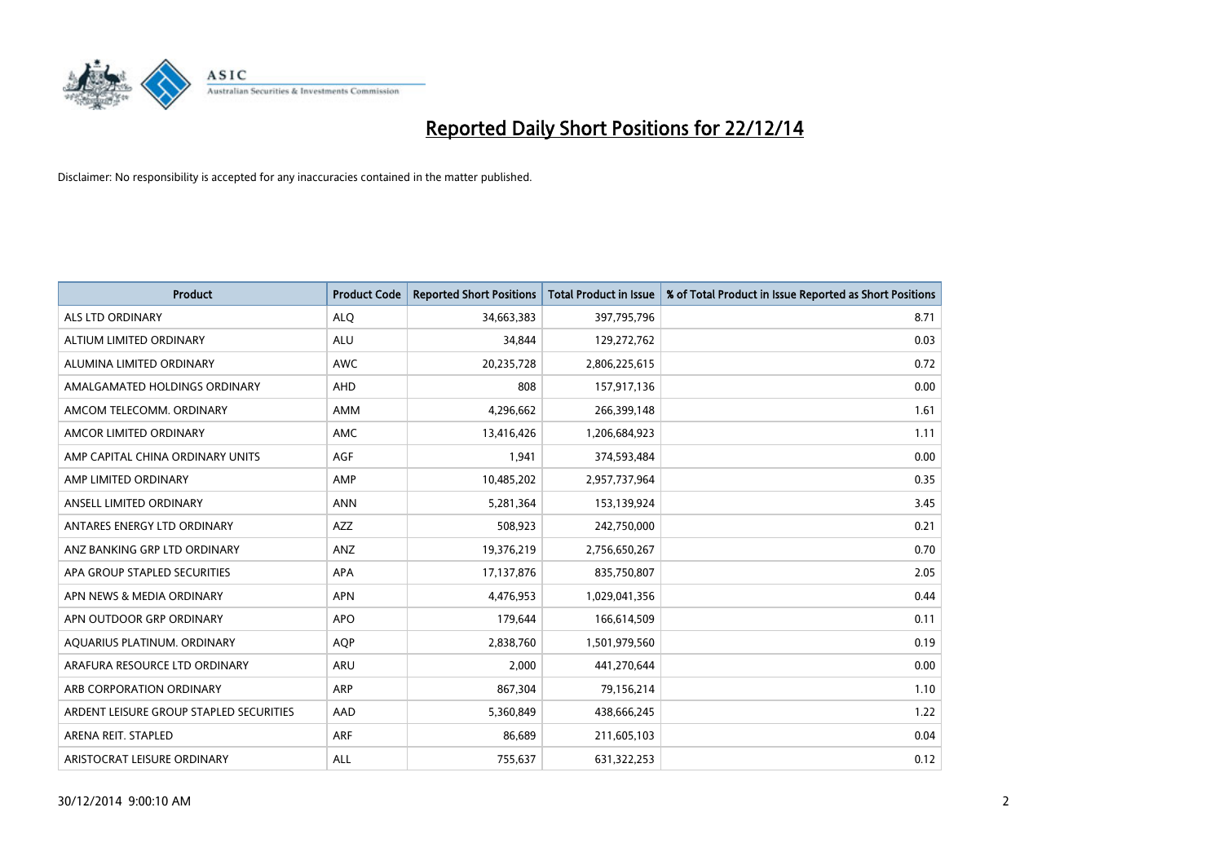

| <b>Product</b>                          | <b>Product Code</b> | <b>Reported Short Positions</b> | <b>Total Product in Issue</b> | % of Total Product in Issue Reported as Short Positions |
|-----------------------------------------|---------------------|---------------------------------|-------------------------------|---------------------------------------------------------|
| <b>ALS LTD ORDINARY</b>                 | <b>ALQ</b>          | 34,663,383                      | 397,795,796                   | 8.71                                                    |
| ALTIUM LIMITED ORDINARY                 | <b>ALU</b>          | 34,844                          | 129,272,762                   | 0.03                                                    |
| ALUMINA LIMITED ORDINARY                | <b>AWC</b>          | 20,235,728                      | 2,806,225,615                 | 0.72                                                    |
| AMALGAMATED HOLDINGS ORDINARY           | <b>AHD</b>          | 808                             | 157,917,136                   | 0.00                                                    |
| AMCOM TELECOMM, ORDINARY                | <b>AMM</b>          | 4,296,662                       | 266,399,148                   | 1.61                                                    |
| AMCOR LIMITED ORDINARY                  | <b>AMC</b>          | 13,416,426                      | 1,206,684,923                 | 1.11                                                    |
| AMP CAPITAL CHINA ORDINARY UNITS        | AGF                 | 1,941                           | 374,593,484                   | 0.00                                                    |
| AMP LIMITED ORDINARY                    | AMP                 | 10,485,202                      | 2,957,737,964                 | 0.35                                                    |
| ANSELL LIMITED ORDINARY                 | <b>ANN</b>          | 5,281,364                       | 153,139,924                   | 3.45                                                    |
| ANTARES ENERGY LTD ORDINARY             | <b>AZZ</b>          | 508,923                         | 242,750,000                   | 0.21                                                    |
| ANZ BANKING GRP LTD ORDINARY            | ANZ                 | 19,376,219                      | 2,756,650,267                 | 0.70                                                    |
| APA GROUP STAPLED SECURITIES            | APA                 | 17,137,876                      | 835,750,807                   | 2.05                                                    |
| APN NEWS & MEDIA ORDINARY               | <b>APN</b>          | 4,476,953                       | 1,029,041,356                 | 0.44                                                    |
| APN OUTDOOR GRP ORDINARY                | <b>APO</b>          | 179,644                         | 166,614,509                   | 0.11                                                    |
| AQUARIUS PLATINUM. ORDINARY             | <b>AOP</b>          | 2,838,760                       | 1,501,979,560                 | 0.19                                                    |
| ARAFURA RESOURCE LTD ORDINARY           | ARU                 | 2,000                           | 441,270,644                   | 0.00                                                    |
| ARB CORPORATION ORDINARY                | ARP                 | 867,304                         | 79,156,214                    | 1.10                                                    |
| ARDENT LEISURE GROUP STAPLED SECURITIES | AAD                 | 5,360,849                       | 438,666,245                   | 1.22                                                    |
| ARENA REIT. STAPLED                     | <b>ARF</b>          | 86,689                          | 211,605,103                   | 0.04                                                    |
| ARISTOCRAT LEISURE ORDINARY             | ALL                 | 755,637                         | 631,322,253                   | 0.12                                                    |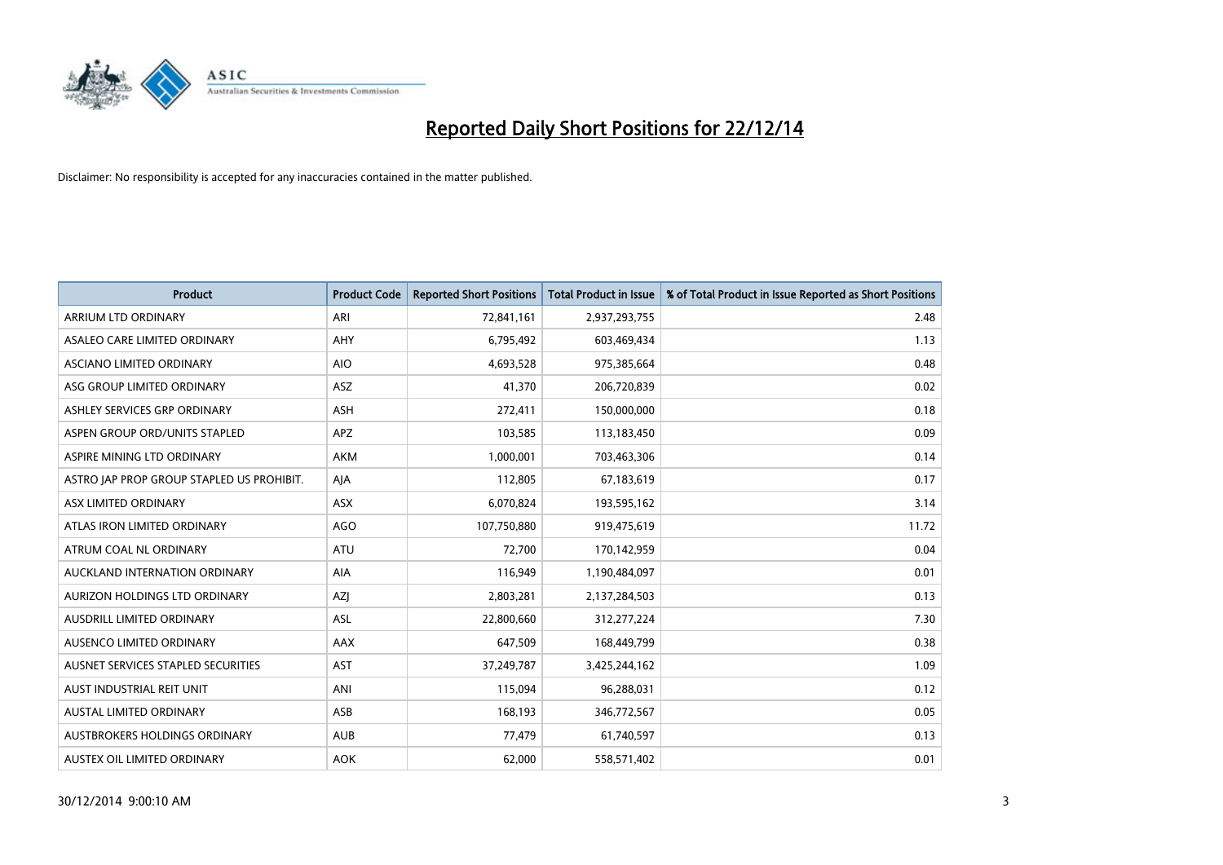

| <b>Product</b>                            | <b>Product Code</b> | <b>Reported Short Positions</b> | <b>Total Product in Issue</b> | % of Total Product in Issue Reported as Short Positions |
|-------------------------------------------|---------------------|---------------------------------|-------------------------------|---------------------------------------------------------|
| <b>ARRIUM LTD ORDINARY</b>                | ARI                 | 72,841,161                      | 2,937,293,755                 | 2.48                                                    |
| ASALEO CARE LIMITED ORDINARY              | <b>AHY</b>          | 6,795,492                       | 603,469,434                   | 1.13                                                    |
| ASCIANO LIMITED ORDINARY                  | <b>AIO</b>          | 4,693,528                       | 975,385,664                   | 0.48                                                    |
| ASG GROUP LIMITED ORDINARY                | ASZ                 | 41,370                          | 206,720,839                   | 0.02                                                    |
| ASHLEY SERVICES GRP ORDINARY              | <b>ASH</b>          | 272,411                         | 150,000,000                   | 0.18                                                    |
| ASPEN GROUP ORD/UNITS STAPLED             | APZ                 | 103,585                         | 113,183,450                   | 0.09                                                    |
| ASPIRE MINING LTD ORDINARY                | AKM                 | 1,000,001                       | 703,463,306                   | 0.14                                                    |
| ASTRO JAP PROP GROUP STAPLED US PROHIBIT. | AJA                 | 112,805                         | 67,183,619                    | 0.17                                                    |
| ASX LIMITED ORDINARY                      | ASX                 | 6,070,824                       | 193,595,162                   | 3.14                                                    |
| ATLAS IRON LIMITED ORDINARY               | AGO                 | 107,750,880                     | 919,475,619                   | 11.72                                                   |
| ATRUM COAL NL ORDINARY                    | ATU                 | 72,700                          | 170,142,959                   | 0.04                                                    |
| AUCKLAND INTERNATION ORDINARY             | AIA                 | 116,949                         | 1,190,484,097                 | 0.01                                                    |
| AURIZON HOLDINGS LTD ORDINARY             | AZJ                 | 2,803,281                       | 2,137,284,503                 | 0.13                                                    |
| AUSDRILL LIMITED ORDINARY                 | ASL                 | 22,800,660                      | 312,277,224                   | 7.30                                                    |
| AUSENCO LIMITED ORDINARY                  | AAX                 | 647,509                         | 168,449,799                   | 0.38                                                    |
| AUSNET SERVICES STAPLED SECURITIES        | AST                 | 37,249,787                      | 3,425,244,162                 | 1.09                                                    |
| AUST INDUSTRIAL REIT UNIT                 | ANI                 | 115,094                         | 96,288,031                    | 0.12                                                    |
| <b>AUSTAL LIMITED ORDINARY</b>            | ASB                 | 168,193                         | 346,772,567                   | 0.05                                                    |
| AUSTBROKERS HOLDINGS ORDINARY             | <b>AUB</b>          | 77,479                          | 61,740,597                    | 0.13                                                    |
| AUSTEX OIL LIMITED ORDINARY               | <b>AOK</b>          | 62,000                          | 558,571,402                   | 0.01                                                    |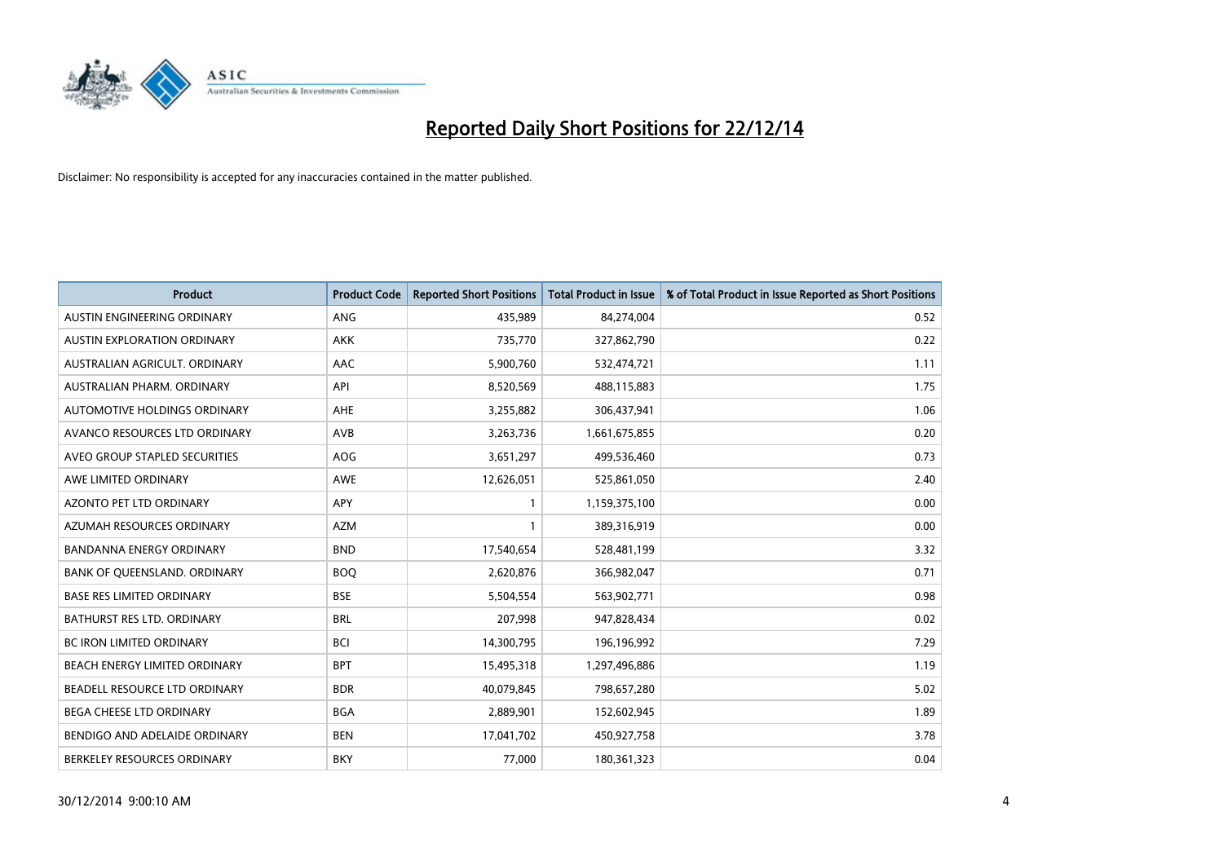

| <b>Product</b>                    | <b>Product Code</b> | <b>Reported Short Positions</b> | <b>Total Product in Issue</b> | % of Total Product in Issue Reported as Short Positions |
|-----------------------------------|---------------------|---------------------------------|-------------------------------|---------------------------------------------------------|
| AUSTIN ENGINEERING ORDINARY       | ANG                 | 435,989                         | 84,274,004                    | 0.52                                                    |
| AUSTIN EXPLORATION ORDINARY       | <b>AKK</b>          | 735,770                         | 327,862,790                   | 0.22                                                    |
| AUSTRALIAN AGRICULT, ORDINARY     | AAC                 | 5,900,760                       | 532,474,721                   | 1.11                                                    |
| AUSTRALIAN PHARM. ORDINARY        | API                 | 8,520,569                       | 488,115,883                   | 1.75                                                    |
| AUTOMOTIVE HOLDINGS ORDINARY      | AHE                 | 3,255,882                       | 306,437,941                   | 1.06                                                    |
| AVANCO RESOURCES LTD ORDINARY     | AVB                 | 3,263,736                       | 1,661,675,855                 | 0.20                                                    |
| AVEO GROUP STAPLED SECURITIES     | AOG                 | 3,651,297                       | 499,536,460                   | 0.73                                                    |
| AWE LIMITED ORDINARY              | AWE                 | 12,626,051                      | 525,861,050                   | 2.40                                                    |
| <b>AZONTO PET LTD ORDINARY</b>    | APY                 | $\mathbf{1}$                    | 1,159,375,100                 | 0.00                                                    |
| AZUMAH RESOURCES ORDINARY         | <b>AZM</b>          | 1                               | 389,316,919                   | 0.00                                                    |
| BANDANNA ENERGY ORDINARY          | <b>BND</b>          | 17,540,654                      | 528,481,199                   | 3.32                                                    |
| BANK OF QUEENSLAND. ORDINARY      | <b>BOQ</b>          | 2,620,876                       | 366,982,047                   | 0.71                                                    |
| <b>BASE RES LIMITED ORDINARY</b>  | <b>BSE</b>          | 5,504,554                       | 563,902,771                   | 0.98                                                    |
| <b>BATHURST RES LTD. ORDINARY</b> | <b>BRL</b>          | 207,998                         | 947,828,434                   | 0.02                                                    |
| <b>BC IRON LIMITED ORDINARY</b>   | <b>BCI</b>          | 14,300,795                      | 196,196,992                   | 7.29                                                    |
| BEACH ENERGY LIMITED ORDINARY     | <b>BPT</b>          | 15,495,318                      | 1,297,496,886                 | 1.19                                                    |
| BEADELL RESOURCE LTD ORDINARY     | <b>BDR</b>          | 40,079,845                      | 798,657,280                   | 5.02                                                    |
| BEGA CHEESE LTD ORDINARY          | <b>BGA</b>          | 2,889,901                       | 152,602,945                   | 1.89                                                    |
| BENDIGO AND ADELAIDE ORDINARY     | <b>BEN</b>          | 17,041,702                      | 450,927,758                   | 3.78                                                    |
| BERKELEY RESOURCES ORDINARY       | <b>BKY</b>          | 77,000                          | 180,361,323                   | 0.04                                                    |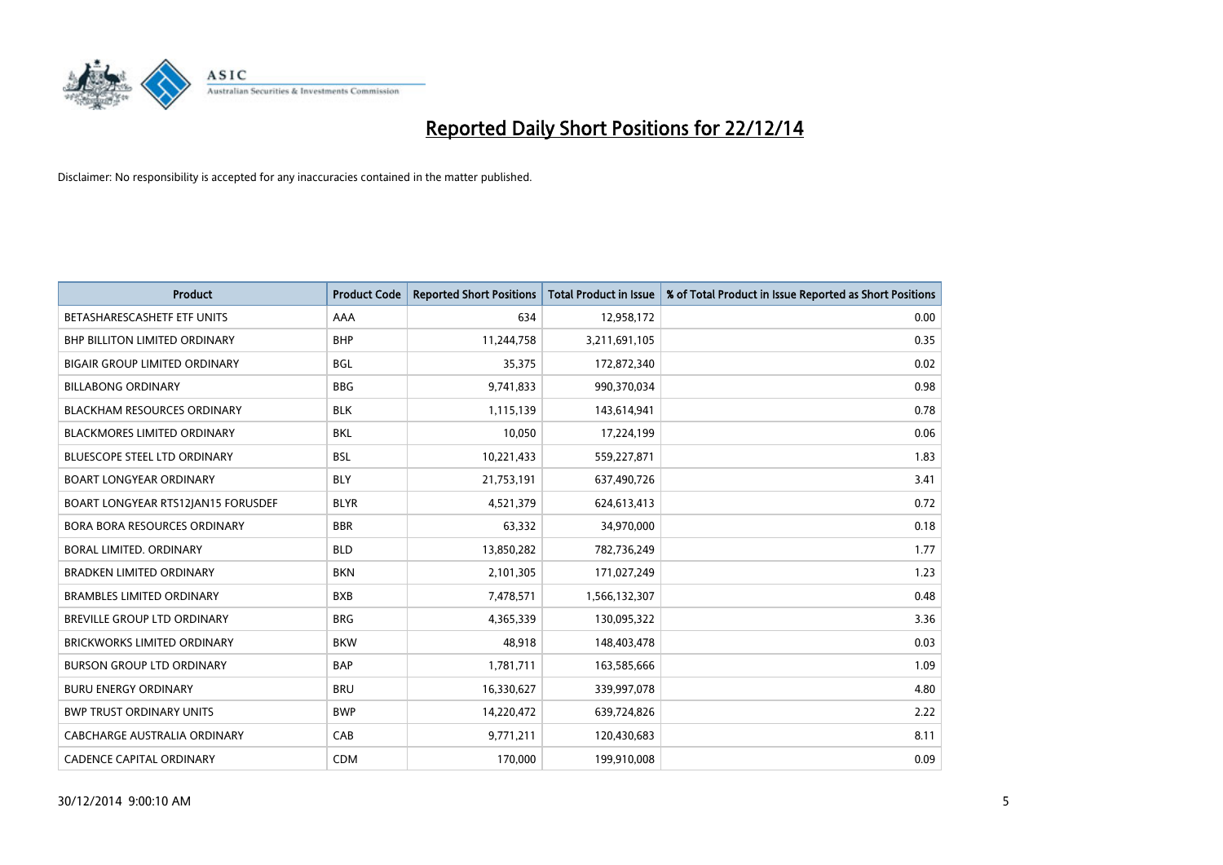

| <b>Product</b>                       | <b>Product Code</b> | <b>Reported Short Positions</b> | <b>Total Product in Issue</b> | % of Total Product in Issue Reported as Short Positions |
|--------------------------------------|---------------------|---------------------------------|-------------------------------|---------------------------------------------------------|
| BETASHARESCASHETF ETF UNITS          | AAA                 | 634                             | 12,958,172                    | 0.00                                                    |
| <b>BHP BILLITON LIMITED ORDINARY</b> | <b>BHP</b>          | 11,244,758                      | 3,211,691,105                 | 0.35                                                    |
| <b>BIGAIR GROUP LIMITED ORDINARY</b> | <b>BGL</b>          | 35,375                          | 172,872,340                   | 0.02                                                    |
| <b>BILLABONG ORDINARY</b>            | <b>BBG</b>          | 9,741,833                       | 990,370,034                   | 0.98                                                    |
| BLACKHAM RESOURCES ORDINARY          | <b>BLK</b>          | 1,115,139                       | 143,614,941                   | 0.78                                                    |
| <b>BLACKMORES LIMITED ORDINARY</b>   | BKL                 | 10,050                          | 17,224,199                    | 0.06                                                    |
| <b>BLUESCOPE STEEL LTD ORDINARY</b>  | <b>BSL</b>          | 10,221,433                      | 559,227,871                   | 1.83                                                    |
| <b>BOART LONGYEAR ORDINARY</b>       | <b>BLY</b>          | 21,753,191                      | 637,490,726                   | 3.41                                                    |
| BOART LONGYEAR RTS12JAN15 FORUSDEF   | <b>BLYR</b>         | 4,521,379                       | 624,613,413                   | 0.72                                                    |
| <b>BORA BORA RESOURCES ORDINARY</b>  | <b>BBR</b>          | 63,332                          | 34,970,000                    | 0.18                                                    |
| <b>BORAL LIMITED, ORDINARY</b>       | <b>BLD</b>          | 13,850,282                      | 782,736,249                   | 1.77                                                    |
| <b>BRADKEN LIMITED ORDINARY</b>      | <b>BKN</b>          | 2,101,305                       | 171,027,249                   | 1.23                                                    |
| <b>BRAMBLES LIMITED ORDINARY</b>     | <b>BXB</b>          | 7,478,571                       | 1,566,132,307                 | 0.48                                                    |
| <b>BREVILLE GROUP LTD ORDINARY</b>   | <b>BRG</b>          | 4,365,339                       | 130,095,322                   | 3.36                                                    |
| <b>BRICKWORKS LIMITED ORDINARY</b>   | <b>BKW</b>          | 48,918                          | 148,403,478                   | 0.03                                                    |
| <b>BURSON GROUP LTD ORDINARY</b>     | <b>BAP</b>          | 1,781,711                       | 163,585,666                   | 1.09                                                    |
| <b>BURU ENERGY ORDINARY</b>          | <b>BRU</b>          | 16,330,627                      | 339,997,078                   | 4.80                                                    |
| <b>BWP TRUST ORDINARY UNITS</b>      | <b>BWP</b>          | 14,220,472                      | 639,724,826                   | 2.22                                                    |
| CABCHARGE AUSTRALIA ORDINARY         | CAB                 | 9,771,211                       | 120,430,683                   | 8.11                                                    |
| <b>CADENCE CAPITAL ORDINARY</b>      | <b>CDM</b>          | 170,000                         | 199,910,008                   | 0.09                                                    |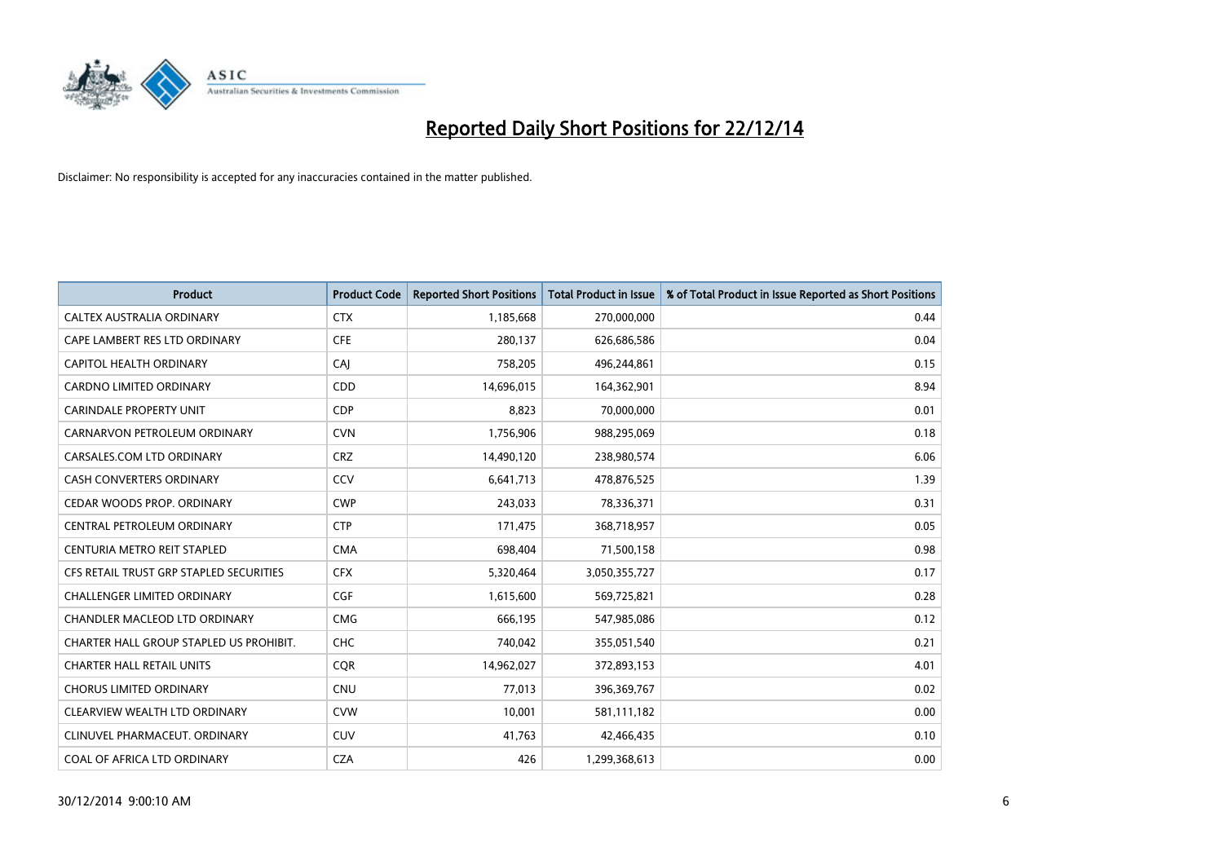

| <b>Product</b>                          | <b>Product Code</b> | <b>Reported Short Positions</b> | <b>Total Product in Issue</b> | % of Total Product in Issue Reported as Short Positions |
|-----------------------------------------|---------------------|---------------------------------|-------------------------------|---------------------------------------------------------|
| CALTEX AUSTRALIA ORDINARY               | <b>CTX</b>          | 1,185,668                       | 270,000,000                   | 0.44                                                    |
| CAPE LAMBERT RES LTD ORDINARY           | <b>CFE</b>          | 280,137                         | 626,686,586                   | 0.04                                                    |
| CAPITOL HEALTH ORDINARY                 | CAJ                 | 758,205                         | 496,244,861                   | 0.15                                                    |
| CARDNO LIMITED ORDINARY                 | CDD                 | 14,696,015                      | 164,362,901                   | 8.94                                                    |
| <b>CARINDALE PROPERTY UNIT</b>          | <b>CDP</b>          | 8,823                           | 70,000,000                    | 0.01                                                    |
| CARNARVON PETROLEUM ORDINARY            | <b>CVN</b>          | 1,756,906                       | 988,295,069                   | 0.18                                                    |
| CARSALES.COM LTD ORDINARY               | <b>CRZ</b>          | 14,490,120                      | 238,980,574                   | 6.06                                                    |
| CASH CONVERTERS ORDINARY                | CCV                 | 6,641,713                       | 478,876,525                   | 1.39                                                    |
| CEDAR WOODS PROP. ORDINARY              | <b>CWP</b>          | 243,033                         | 78,336,371                    | 0.31                                                    |
| CENTRAL PETROLEUM ORDINARY              | <b>CTP</b>          | 171,475                         | 368,718,957                   | 0.05                                                    |
| CENTURIA METRO REIT STAPLED             | <b>CMA</b>          | 698,404                         | 71,500,158                    | 0.98                                                    |
| CFS RETAIL TRUST GRP STAPLED SECURITIES | <b>CFX</b>          | 5,320,464                       | 3,050,355,727                 | 0.17                                                    |
| <b>CHALLENGER LIMITED ORDINARY</b>      | <b>CGF</b>          | 1,615,600                       | 569,725,821                   | 0.28                                                    |
| <b>CHANDLER MACLEOD LTD ORDINARY</b>    | <b>CMG</b>          | 666,195                         | 547,985,086                   | 0.12                                                    |
| CHARTER HALL GROUP STAPLED US PROHIBIT. | <b>CHC</b>          | 740,042                         | 355,051,540                   | 0.21                                                    |
| <b>CHARTER HALL RETAIL UNITS</b>        | <b>CQR</b>          | 14,962,027                      | 372,893,153                   | 4.01                                                    |
| <b>CHORUS LIMITED ORDINARY</b>          | <b>CNU</b>          | 77,013                          | 396,369,767                   | 0.02                                                    |
| CLEARVIEW WEALTH LTD ORDINARY           | <b>CVW</b>          | 10,001                          | 581,111,182                   | 0.00                                                    |
| CLINUVEL PHARMACEUT, ORDINARY           | <b>CUV</b>          | 41,763                          | 42,466,435                    | 0.10                                                    |
| COAL OF AFRICA LTD ORDINARY             | <b>CZA</b>          | 426                             | 1,299,368,613                 | 0.00                                                    |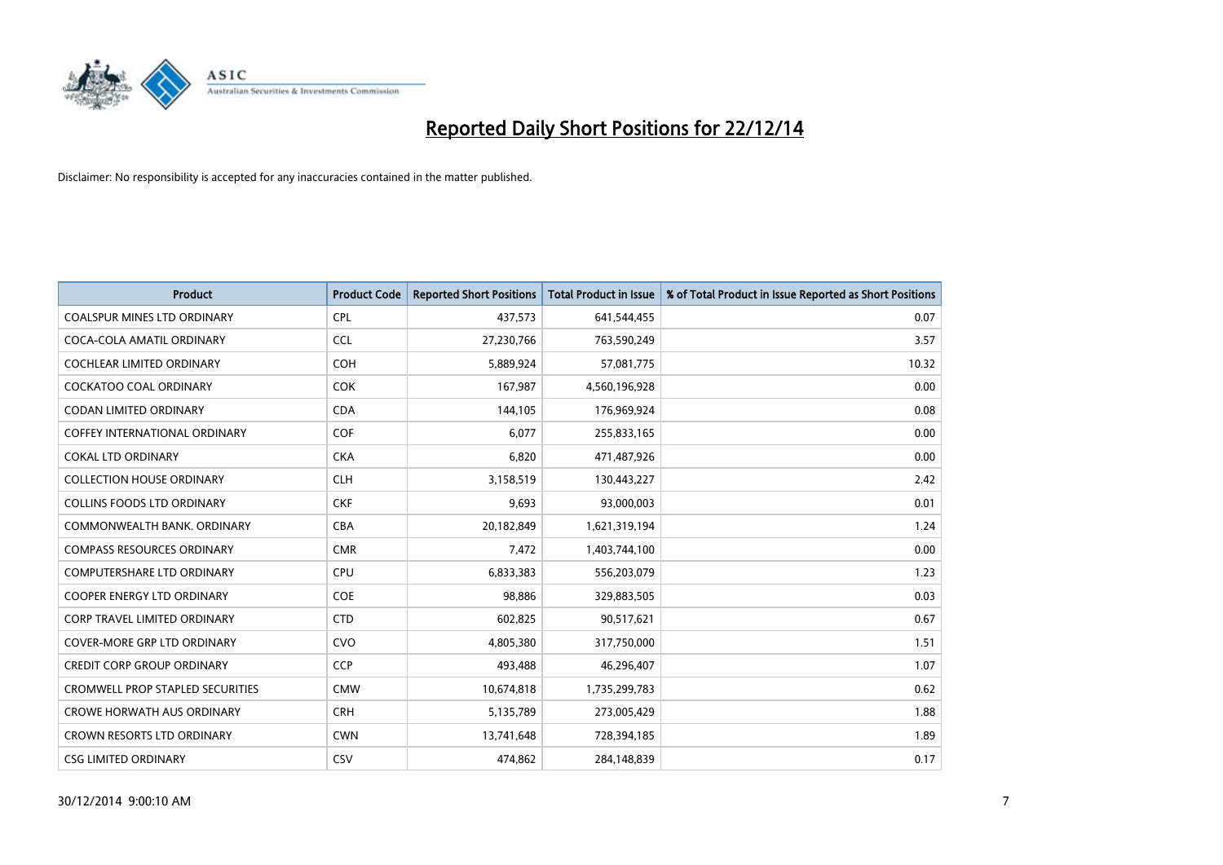

| <b>Product</b>                          | <b>Product Code</b> | <b>Reported Short Positions</b> | <b>Total Product in Issue</b> | % of Total Product in Issue Reported as Short Positions |
|-----------------------------------------|---------------------|---------------------------------|-------------------------------|---------------------------------------------------------|
| <b>COALSPUR MINES LTD ORDINARY</b>      | <b>CPL</b>          | 437,573                         | 641,544,455                   | 0.07                                                    |
| COCA-COLA AMATIL ORDINARY               | <b>CCL</b>          | 27,230,766                      | 763,590,249                   | 3.57                                                    |
| <b>COCHLEAR LIMITED ORDINARY</b>        | <b>COH</b>          | 5,889,924                       | 57,081,775                    | 10.32                                                   |
| <b>COCKATOO COAL ORDINARY</b>           | <b>COK</b>          | 167,987                         | 4,560,196,928                 | 0.00                                                    |
| <b>CODAN LIMITED ORDINARY</b>           | <b>CDA</b>          | 144,105                         | 176,969,924                   | 0.08                                                    |
| <b>COFFEY INTERNATIONAL ORDINARY</b>    | COF                 | 6,077                           | 255,833,165                   | 0.00                                                    |
| <b>COKAL LTD ORDINARY</b>               | <b>CKA</b>          | 6,820                           | 471,487,926                   | 0.00                                                    |
| <b>COLLECTION HOUSE ORDINARY</b>        | <b>CLH</b>          | 3,158,519                       | 130,443,227                   | 2.42                                                    |
| <b>COLLINS FOODS LTD ORDINARY</b>       | <b>CKF</b>          | 9,693                           | 93,000,003                    | 0.01                                                    |
| COMMONWEALTH BANK, ORDINARY             | <b>CBA</b>          | 20,182,849                      | 1,621,319,194                 | 1.24                                                    |
| <b>COMPASS RESOURCES ORDINARY</b>       | <b>CMR</b>          | 7,472                           | 1,403,744,100                 | 0.00                                                    |
| <b>COMPUTERSHARE LTD ORDINARY</b>       | <b>CPU</b>          | 6,833,383                       | 556,203,079                   | 1.23                                                    |
| COOPER ENERGY LTD ORDINARY              | <b>COE</b>          | 98,886                          | 329,883,505                   | 0.03                                                    |
| <b>CORP TRAVEL LIMITED ORDINARY</b>     | <b>CTD</b>          | 602,825                         | 90,517,621                    | 0.67                                                    |
| <b>COVER-MORE GRP LTD ORDINARY</b>      | <b>CVO</b>          | 4,805,380                       | 317,750,000                   | 1.51                                                    |
| <b>CREDIT CORP GROUP ORDINARY</b>       | <b>CCP</b>          | 493,488                         | 46,296,407                    | 1.07                                                    |
| <b>CROMWELL PROP STAPLED SECURITIES</b> | <b>CMW</b>          | 10,674,818                      | 1,735,299,783                 | 0.62                                                    |
| <b>CROWE HORWATH AUS ORDINARY</b>       | <b>CRH</b>          | 5,135,789                       | 273,005,429                   | 1.88                                                    |
| <b>CROWN RESORTS LTD ORDINARY</b>       | <b>CWN</b>          | 13,741,648                      | 728,394,185                   | 1.89                                                    |
| <b>CSG LIMITED ORDINARY</b>             | <b>CSV</b>          | 474,862                         | 284,148,839                   | 0.17                                                    |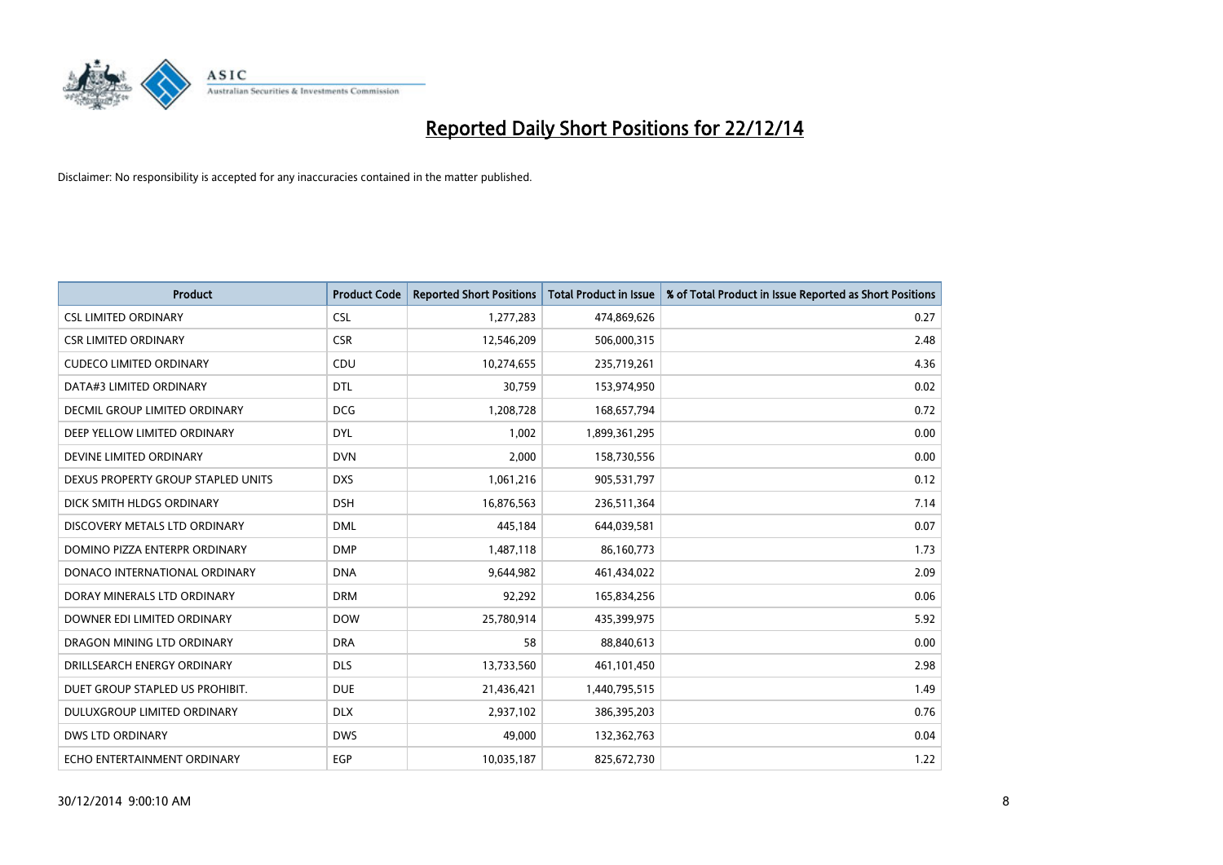

| <b>Product</b>                       | <b>Product Code</b> | <b>Reported Short Positions</b> | <b>Total Product in Issue</b> | % of Total Product in Issue Reported as Short Positions |
|--------------------------------------|---------------------|---------------------------------|-------------------------------|---------------------------------------------------------|
| <b>CSL LIMITED ORDINARY</b>          | <b>CSL</b>          | 1,277,283                       | 474,869,626                   | 0.27                                                    |
| <b>CSR LIMITED ORDINARY</b>          | <b>CSR</b>          | 12,546,209                      | 506,000,315                   | 2.48                                                    |
| <b>CUDECO LIMITED ORDINARY</b>       | CDU                 | 10,274,655                      | 235,719,261                   | 4.36                                                    |
| DATA#3 LIMITED ORDINARY              | <b>DTL</b>          | 30,759                          | 153,974,950                   | 0.02                                                    |
| <b>DECMIL GROUP LIMITED ORDINARY</b> | <b>DCG</b>          | 1,208,728                       | 168,657,794                   | 0.72                                                    |
| DEEP YELLOW LIMITED ORDINARY         | <b>DYL</b>          | 1,002                           | 1,899,361,295                 | 0.00                                                    |
| DEVINE LIMITED ORDINARY              | <b>DVN</b>          | 2,000                           | 158,730,556                   | 0.00                                                    |
| DEXUS PROPERTY GROUP STAPLED UNITS   | <b>DXS</b>          | 1,061,216                       | 905,531,797                   | 0.12                                                    |
| DICK SMITH HLDGS ORDINARY            | <b>DSH</b>          | 16,876,563                      | 236,511,364                   | 7.14                                                    |
| DISCOVERY METALS LTD ORDINARY        | <b>DML</b>          | 445,184                         | 644,039,581                   | 0.07                                                    |
| DOMINO PIZZA ENTERPR ORDINARY        | <b>DMP</b>          | 1,487,118                       | 86,160,773                    | 1.73                                                    |
| DONACO INTERNATIONAL ORDINARY        | <b>DNA</b>          | 9,644,982                       | 461,434,022                   | 2.09                                                    |
| DORAY MINERALS LTD ORDINARY          | <b>DRM</b>          | 92,292                          | 165,834,256                   | 0.06                                                    |
| DOWNER EDI LIMITED ORDINARY          | <b>DOW</b>          | 25,780,914                      | 435,399,975                   | 5.92                                                    |
| DRAGON MINING LTD ORDINARY           | <b>DRA</b>          | 58                              | 88,840,613                    | 0.00                                                    |
| DRILLSEARCH ENERGY ORDINARY          | <b>DLS</b>          | 13,733,560                      | 461,101,450                   | 2.98                                                    |
| DUET GROUP STAPLED US PROHIBIT.      | <b>DUE</b>          | 21,436,421                      | 1,440,795,515                 | 1.49                                                    |
| DULUXGROUP LIMITED ORDINARY          | <b>DLX</b>          | 2,937,102                       | 386,395,203                   | 0.76                                                    |
| DWS LTD ORDINARY                     | <b>DWS</b>          | 49,000                          | 132,362,763                   | 0.04                                                    |
| ECHO ENTERTAINMENT ORDINARY          | EGP                 | 10,035,187                      | 825,672,730                   | 1.22                                                    |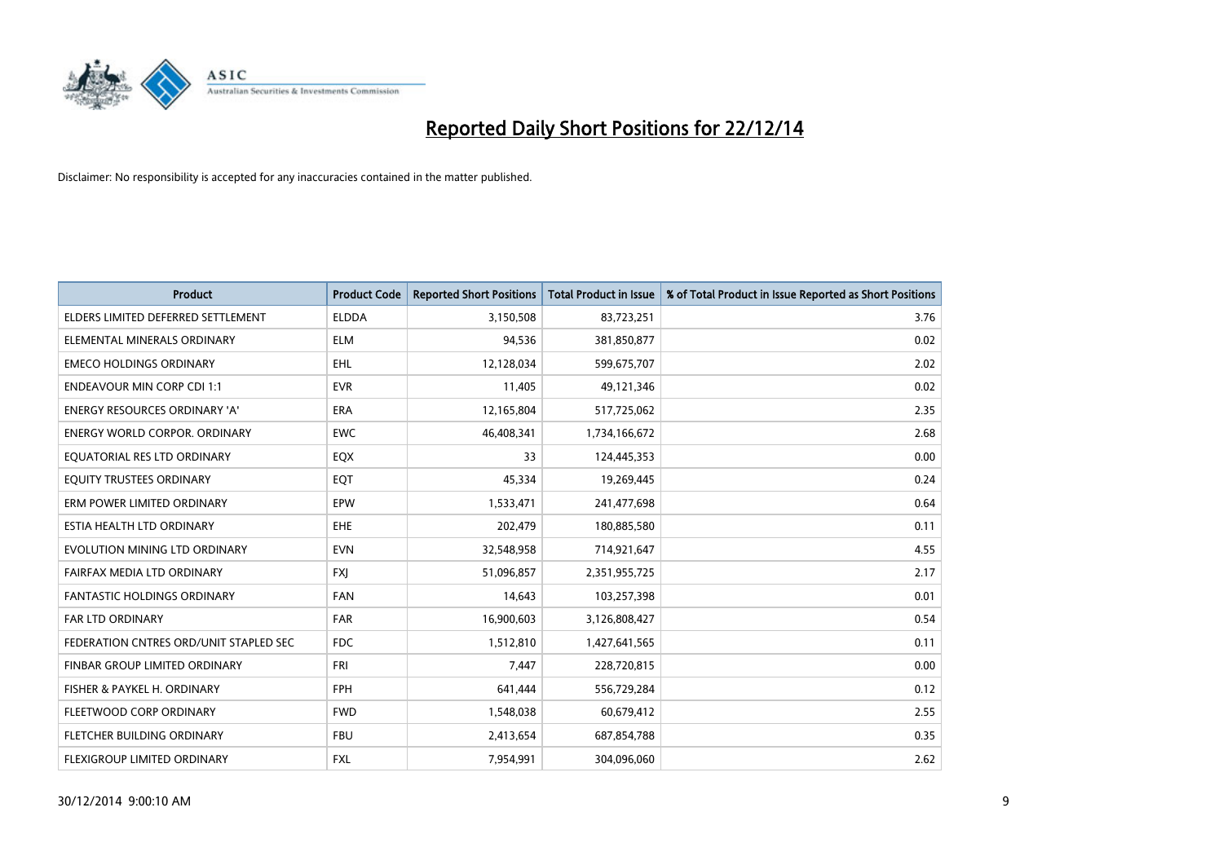

| <b>Product</b>                         | <b>Product Code</b> | <b>Reported Short Positions</b> | <b>Total Product in Issue</b> | % of Total Product in Issue Reported as Short Positions |
|----------------------------------------|---------------------|---------------------------------|-------------------------------|---------------------------------------------------------|
| ELDERS LIMITED DEFERRED SETTLEMENT     | <b>ELDDA</b>        | 3,150,508                       | 83,723,251                    | 3.76                                                    |
| ELEMENTAL MINERALS ORDINARY            | <b>ELM</b>          | 94,536                          | 381,850,877                   | 0.02                                                    |
| <b>EMECO HOLDINGS ORDINARY</b>         | <b>EHL</b>          | 12,128,034                      | 599,675,707                   | 2.02                                                    |
| <b>ENDEAVOUR MIN CORP CDI 1:1</b>      | <b>EVR</b>          | 11,405                          | 49,121,346                    | 0.02                                                    |
| <b>ENERGY RESOURCES ORDINARY 'A'</b>   | ERA                 | 12,165,804                      | 517,725,062                   | 2.35                                                    |
| <b>ENERGY WORLD CORPOR, ORDINARY</b>   | <b>EWC</b>          | 46,408,341                      | 1,734,166,672                 | 2.68                                                    |
| EQUATORIAL RES LTD ORDINARY            | EQX                 | 33                              | 124,445,353                   | 0.00                                                    |
| EQUITY TRUSTEES ORDINARY               | EQT                 | 45,334                          | 19,269,445                    | 0.24                                                    |
| ERM POWER LIMITED ORDINARY             | EPW                 | 1,533,471                       | 241,477,698                   | 0.64                                                    |
| ESTIA HEALTH LTD ORDINARY              | <b>EHE</b>          | 202,479                         | 180,885,580                   | 0.11                                                    |
| EVOLUTION MINING LTD ORDINARY          | <b>EVN</b>          | 32,548,958                      | 714,921,647                   | 4.55                                                    |
| FAIRFAX MEDIA LTD ORDINARY             | <b>FXJ</b>          | 51,096,857                      | 2,351,955,725                 | 2.17                                                    |
| FANTASTIC HOLDINGS ORDINARY            | FAN                 | 14,643                          | 103,257,398                   | 0.01                                                    |
| <b>FAR LTD ORDINARY</b>                | <b>FAR</b>          | 16,900,603                      | 3,126,808,427                 | 0.54                                                    |
| FEDERATION CNTRES ORD/UNIT STAPLED SEC | FDC                 | 1,512,810                       | 1,427,641,565                 | 0.11                                                    |
| FINBAR GROUP LIMITED ORDINARY          | <b>FRI</b>          | 7,447                           | 228,720,815                   | 0.00                                                    |
| FISHER & PAYKEL H. ORDINARY            | <b>FPH</b>          | 641,444                         | 556,729,284                   | 0.12                                                    |
| FLEETWOOD CORP ORDINARY                | <b>FWD</b>          | 1,548,038                       | 60,679,412                    | 2.55                                                    |
| FLETCHER BUILDING ORDINARY             | <b>FBU</b>          | 2,413,654                       | 687,854,788                   | 0.35                                                    |
| FLEXIGROUP LIMITED ORDINARY            | FXL                 | 7,954,991                       | 304,096,060                   | 2.62                                                    |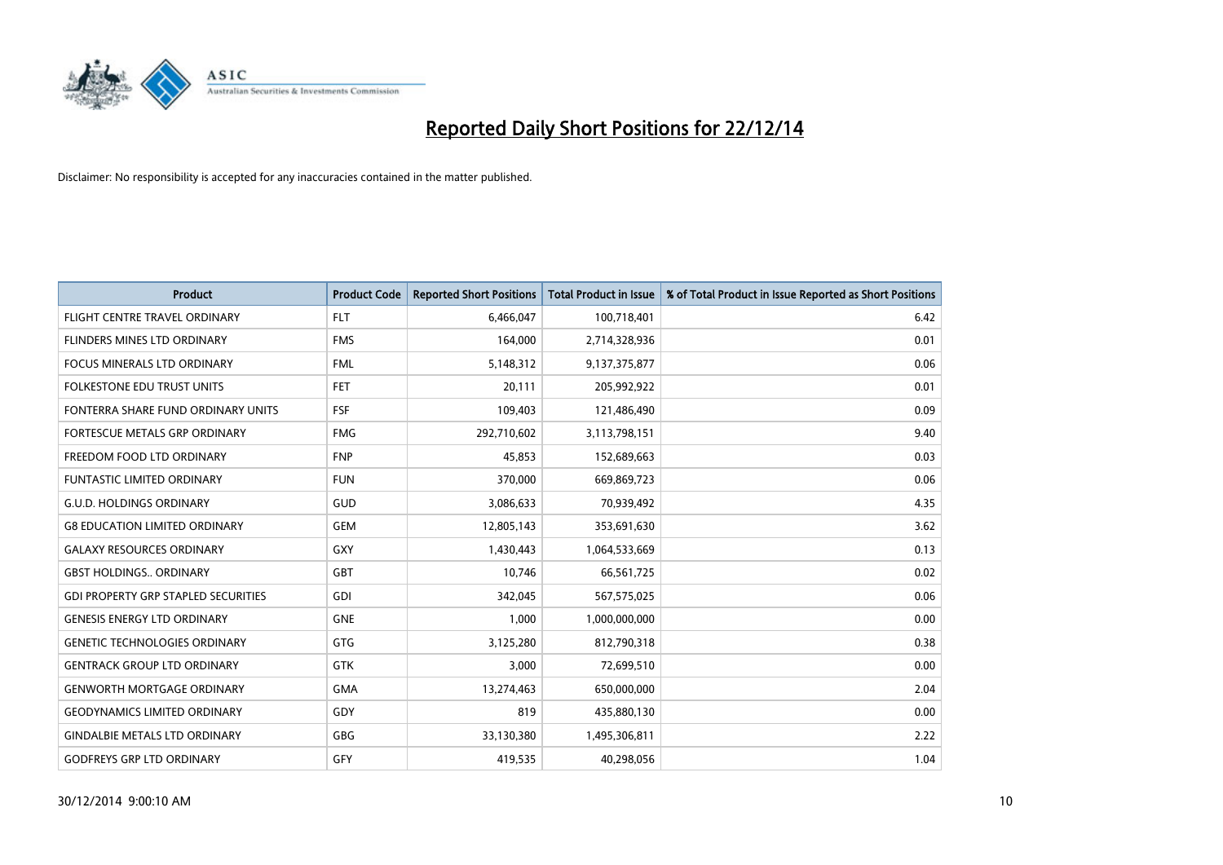

| <b>Product</b>                             | <b>Product Code</b> | <b>Reported Short Positions</b> | <b>Total Product in Issue</b> | % of Total Product in Issue Reported as Short Positions |
|--------------------------------------------|---------------------|---------------------------------|-------------------------------|---------------------------------------------------------|
| FLIGHT CENTRE TRAVEL ORDINARY              | <b>FLT</b>          | 6,466,047                       | 100,718,401                   | 6.42                                                    |
| <b>FLINDERS MINES LTD ORDINARY</b>         | <b>FMS</b>          | 164,000                         | 2,714,328,936                 | 0.01                                                    |
| FOCUS MINERALS LTD ORDINARY                | <b>FML</b>          | 5,148,312                       | 9,137,375,877                 | 0.06                                                    |
| <b>FOLKESTONE EDU TRUST UNITS</b>          | <b>FET</b>          | 20,111                          | 205,992,922                   | 0.01                                                    |
| FONTERRA SHARE FUND ORDINARY UNITS         | <b>FSF</b>          | 109,403                         | 121,486,490                   | 0.09                                                    |
| FORTESCUE METALS GRP ORDINARY              | <b>FMG</b>          | 292,710,602                     | 3,113,798,151                 | 9.40                                                    |
| FREEDOM FOOD LTD ORDINARY                  | <b>FNP</b>          | 45,853                          | 152,689,663                   | 0.03                                                    |
| <b>FUNTASTIC LIMITED ORDINARY</b>          | <b>FUN</b>          | 370,000                         | 669,869,723                   | 0.06                                                    |
| <b>G.U.D. HOLDINGS ORDINARY</b>            | GUD                 | 3,086,633                       | 70,939,492                    | 4.35                                                    |
| <b>G8 EDUCATION LIMITED ORDINARY</b>       | <b>GEM</b>          | 12,805,143                      | 353,691,630                   | 3.62                                                    |
| <b>GALAXY RESOURCES ORDINARY</b>           | <b>GXY</b>          | 1,430,443                       | 1,064,533,669                 | 0.13                                                    |
| <b>GBST HOLDINGS., ORDINARY</b>            | <b>GBT</b>          | 10,746                          | 66,561,725                    | 0.02                                                    |
| <b>GDI PROPERTY GRP STAPLED SECURITIES</b> | <b>GDI</b>          | 342,045                         | 567,575,025                   | 0.06                                                    |
| <b>GENESIS ENERGY LTD ORDINARY</b>         | <b>GNE</b>          | 1,000                           | 1,000,000,000                 | 0.00                                                    |
| <b>GENETIC TECHNOLOGIES ORDINARY</b>       | <b>GTG</b>          | 3,125,280                       | 812,790,318                   | 0.38                                                    |
| <b>GENTRACK GROUP LTD ORDINARY</b>         | <b>GTK</b>          | 3,000                           | 72,699,510                    | 0.00                                                    |
| <b>GENWORTH MORTGAGE ORDINARY</b>          | <b>GMA</b>          | 13,274,463                      | 650,000,000                   | 2.04                                                    |
| <b>GEODYNAMICS LIMITED ORDINARY</b>        | GDY                 | 819                             | 435,880,130                   | 0.00                                                    |
| <b>GINDALBIE METALS LTD ORDINARY</b>       | GBG                 | 33,130,380                      | 1,495,306,811                 | 2.22                                                    |
| <b>GODFREYS GRP LTD ORDINARY</b>           | GFY                 | 419,535                         | 40,298,056                    | 1.04                                                    |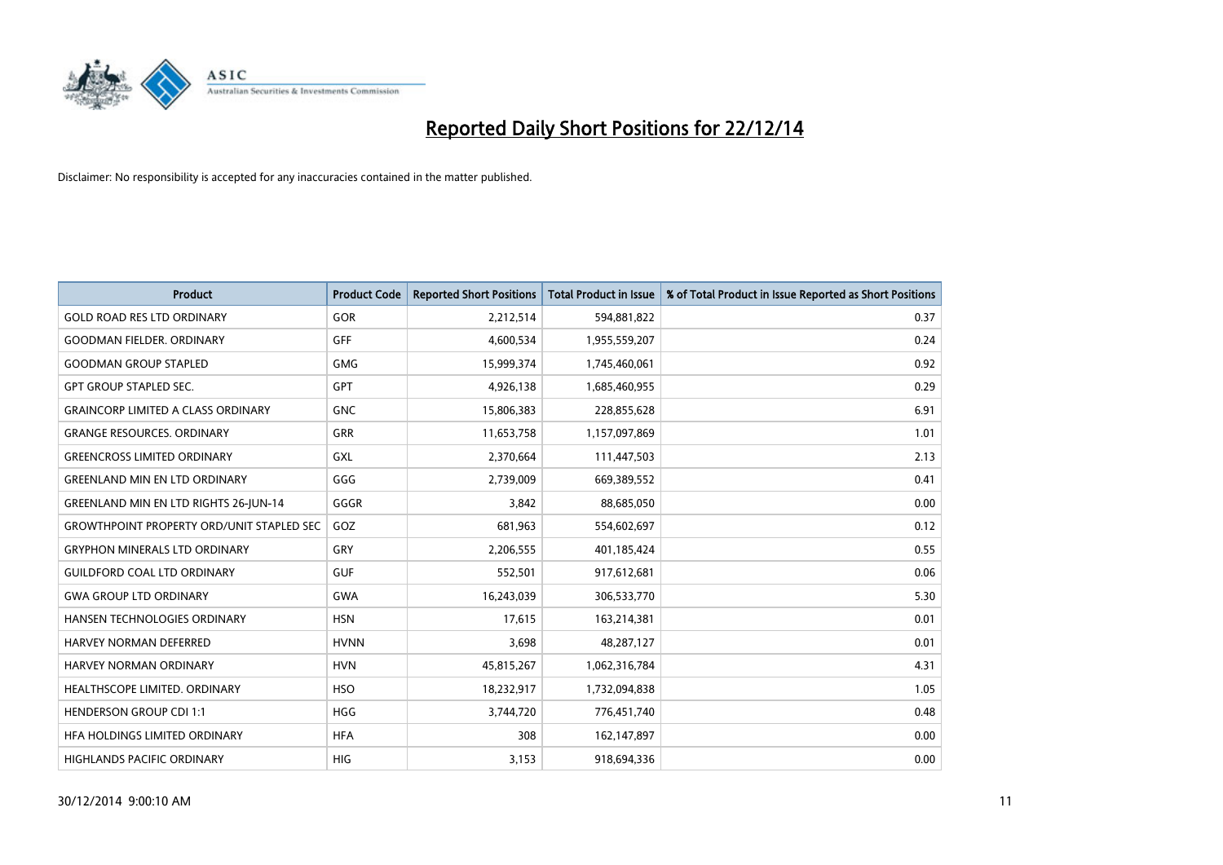

| <b>Product</b>                                   | <b>Product Code</b> | <b>Reported Short Positions</b> | <b>Total Product in Issue</b> | % of Total Product in Issue Reported as Short Positions |
|--------------------------------------------------|---------------------|---------------------------------|-------------------------------|---------------------------------------------------------|
| <b>GOLD ROAD RES LTD ORDINARY</b>                | <b>GOR</b>          | 2,212,514                       | 594,881,822                   | 0.37                                                    |
| <b>GOODMAN FIELDER, ORDINARY</b>                 | GFF                 | 4,600,534                       | 1,955,559,207                 | 0.24                                                    |
| <b>GOODMAN GROUP STAPLED</b>                     | <b>GMG</b>          | 15,999,374                      | 1,745,460,061                 | 0.92                                                    |
| <b>GPT GROUP STAPLED SEC.</b>                    | GPT                 | 4,926,138                       | 1,685,460,955                 | 0.29                                                    |
| <b>GRAINCORP LIMITED A CLASS ORDINARY</b>        | <b>GNC</b>          | 15,806,383                      | 228,855,628                   | 6.91                                                    |
| <b>GRANGE RESOURCES, ORDINARY</b>                | <b>GRR</b>          | 11,653,758                      | 1,157,097,869                 | 1.01                                                    |
| <b>GREENCROSS LIMITED ORDINARY</b>               | GXL                 | 2,370,664                       | 111,447,503                   | 2.13                                                    |
| <b>GREENLAND MIN EN LTD ORDINARY</b>             | GGG                 | 2,739,009                       | 669,389,552                   | 0.41                                                    |
| <b>GREENLAND MIN EN LTD RIGHTS 26-JUN-14</b>     | GGGR                | 3,842                           | 88,685,050                    | 0.00                                                    |
| <b>GROWTHPOINT PROPERTY ORD/UNIT STAPLED SEC</b> | GOZ                 | 681,963                         | 554,602,697                   | 0.12                                                    |
| <b>GRYPHON MINERALS LTD ORDINARY</b>             | GRY                 | 2,206,555                       | 401,185,424                   | 0.55                                                    |
| <b>GUILDFORD COAL LTD ORDINARY</b>               | <b>GUF</b>          | 552,501                         | 917,612,681                   | 0.06                                                    |
| <b>GWA GROUP LTD ORDINARY</b>                    | GWA                 | 16,243,039                      | 306,533,770                   | 5.30                                                    |
| HANSEN TECHNOLOGIES ORDINARY                     | <b>HSN</b>          | 17,615                          | 163,214,381                   | 0.01                                                    |
| <b>HARVEY NORMAN DEFERRED</b>                    | <b>HVNN</b>         | 3,698                           | 48,287,127                    | 0.01                                                    |
| <b>HARVEY NORMAN ORDINARY</b>                    | <b>HVN</b>          | 45,815,267                      | 1,062,316,784                 | 4.31                                                    |
| HEALTHSCOPE LIMITED. ORDINARY                    | <b>HSO</b>          | 18,232,917                      | 1,732,094,838                 | 1.05                                                    |
| <b>HENDERSON GROUP CDI 1:1</b>                   | <b>HGG</b>          | 3,744,720                       | 776,451,740                   | 0.48                                                    |
| HFA HOLDINGS LIMITED ORDINARY                    | <b>HFA</b>          | 308                             | 162,147,897                   | 0.00                                                    |
| HIGHLANDS PACIFIC ORDINARY                       | HIG                 | 3,153                           | 918,694,336                   | 0.00                                                    |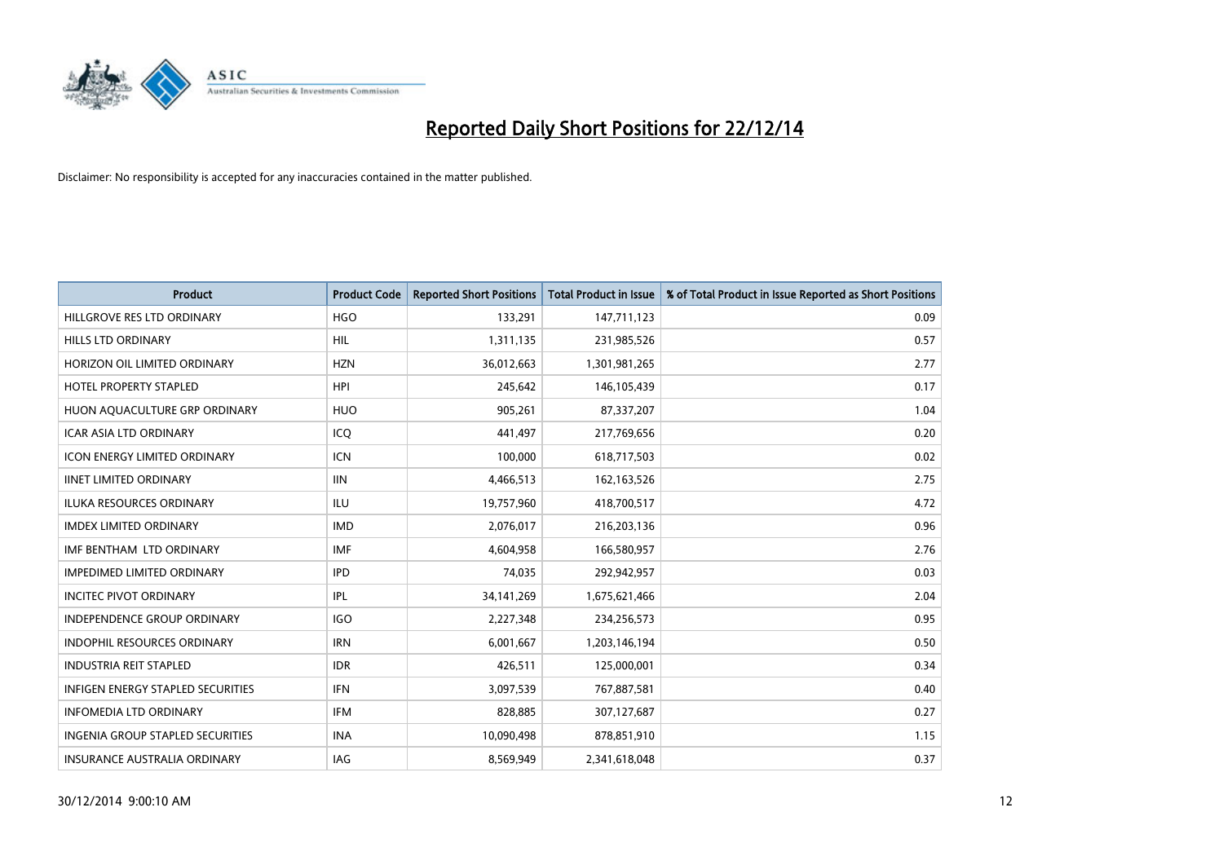

| <b>Product</b>                           | <b>Product Code</b> | <b>Reported Short Positions</b> | <b>Total Product in Issue</b> | % of Total Product in Issue Reported as Short Positions |
|------------------------------------------|---------------------|---------------------------------|-------------------------------|---------------------------------------------------------|
| HILLGROVE RES LTD ORDINARY               | <b>HGO</b>          | 133,291                         | 147,711,123                   | 0.09                                                    |
| HILLS LTD ORDINARY                       | <b>HIL</b>          | 1,311,135                       | 231,985,526                   | 0.57                                                    |
| HORIZON OIL LIMITED ORDINARY             | <b>HZN</b>          | 36,012,663                      | 1,301,981,265                 | 2.77                                                    |
| HOTEL PROPERTY STAPLED                   | <b>HPI</b>          | 245,642                         | 146, 105, 439                 | 0.17                                                    |
| HUON AQUACULTURE GRP ORDINARY            | <b>HUO</b>          | 905,261                         | 87,337,207                    | 1.04                                                    |
| <b>ICAR ASIA LTD ORDINARY</b>            | ICQ                 | 441,497                         | 217,769,656                   | 0.20                                                    |
| <b>ICON ENERGY LIMITED ORDINARY</b>      | <b>ICN</b>          | 100,000                         | 618,717,503                   | 0.02                                                    |
| <b>IINET LIMITED ORDINARY</b>            | <b>IIN</b>          | 4,466,513                       | 162, 163, 526                 | 2.75                                                    |
| ILUKA RESOURCES ORDINARY                 | ILU                 | 19,757,960                      | 418,700,517                   | 4.72                                                    |
| <b>IMDEX LIMITED ORDINARY</b>            | <b>IMD</b>          | 2,076,017                       | 216,203,136                   | 0.96                                                    |
| IMF BENTHAM LTD ORDINARY                 | <b>IMF</b>          | 4,604,958                       | 166,580,957                   | 2.76                                                    |
| <b>IMPEDIMED LIMITED ORDINARY</b>        | <b>IPD</b>          | 74,035                          | 292,942,957                   | 0.03                                                    |
| <b>INCITEC PIVOT ORDINARY</b>            | IPL                 | 34, 141, 269                    | 1,675,621,466                 | 2.04                                                    |
| <b>INDEPENDENCE GROUP ORDINARY</b>       | <b>IGO</b>          | 2,227,348                       | 234,256,573                   | 0.95                                                    |
| <b>INDOPHIL RESOURCES ORDINARY</b>       | <b>IRN</b>          | 6,001,667                       | 1,203,146,194                 | 0.50                                                    |
| <b>INDUSTRIA REIT STAPLED</b>            | <b>IDR</b>          | 426,511                         | 125,000,001                   | 0.34                                                    |
| <b>INFIGEN ENERGY STAPLED SECURITIES</b> | <b>IFN</b>          | 3,097,539                       | 767,887,581                   | 0.40                                                    |
| <b>INFOMEDIA LTD ORDINARY</b>            | <b>IFM</b>          | 828,885                         | 307,127,687                   | 0.27                                                    |
| <b>INGENIA GROUP STAPLED SECURITIES</b>  | <b>INA</b>          | 10,090,498                      | 878,851,910                   | 1.15                                                    |
| INSURANCE AUSTRALIA ORDINARY             | IAG                 | 8,569,949                       | 2,341,618,048                 | 0.37                                                    |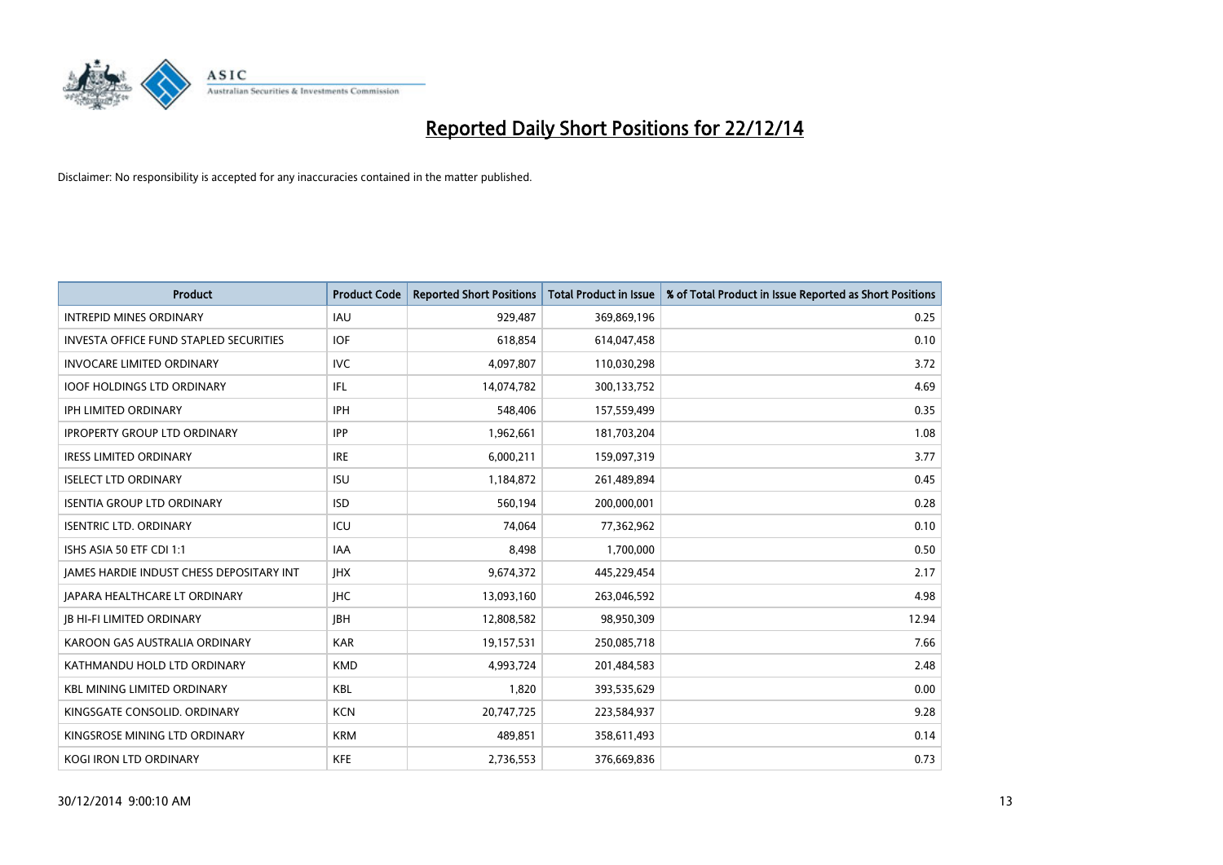

| <b>Product</b>                           | <b>Product Code</b> | <b>Reported Short Positions</b> | <b>Total Product in Issue</b> | % of Total Product in Issue Reported as Short Positions |
|------------------------------------------|---------------------|---------------------------------|-------------------------------|---------------------------------------------------------|
| <b>INTREPID MINES ORDINARY</b>           | <b>IAU</b>          | 929,487                         | 369,869,196                   | 0.25                                                    |
| INVESTA OFFICE FUND STAPLED SECURITIES   | <b>IOF</b>          | 618,854                         | 614,047,458                   | 0.10                                                    |
| <b>INVOCARE LIMITED ORDINARY</b>         | <b>IVC</b>          | 4,097,807                       | 110,030,298                   | 3.72                                                    |
| <b>IOOF HOLDINGS LTD ORDINARY</b>        | IFL.                | 14,074,782                      | 300,133,752                   | 4.69                                                    |
| <b>IPH LIMITED ORDINARY</b>              | <b>IPH</b>          | 548,406                         | 157,559,499                   | 0.35                                                    |
| <b>IPROPERTY GROUP LTD ORDINARY</b>      | <b>IPP</b>          | 1,962,661                       | 181,703,204                   | 1.08                                                    |
| <b>IRESS LIMITED ORDINARY</b>            | <b>IRE</b>          | 6,000,211                       | 159,097,319                   | 3.77                                                    |
| <b>ISELECT LTD ORDINARY</b>              | <b>ISU</b>          | 1,184,872                       | 261,489,894                   | 0.45                                                    |
| <b>ISENTIA GROUP LTD ORDINARY</b>        | <b>ISD</b>          | 560,194                         | 200,000,001                   | 0.28                                                    |
| <b>ISENTRIC LTD. ORDINARY</b>            | ICU                 | 74,064                          | 77,362,962                    | 0.10                                                    |
| ISHS ASIA 50 ETF CDI 1:1                 | IAA                 | 8,498                           | 1,700,000                     | 0.50                                                    |
| JAMES HARDIE INDUST CHESS DEPOSITARY INT | <b>IHX</b>          | 9,674,372                       | 445,229,454                   | 2.17                                                    |
| <b>JAPARA HEALTHCARE LT ORDINARY</b>     | <b>IHC</b>          | 13,093,160                      | 263,046,592                   | 4.98                                                    |
| <b>JB HI-FI LIMITED ORDINARY</b>         | <b>IBH</b>          | 12,808,582                      | 98,950,309                    | 12.94                                                   |
| KAROON GAS AUSTRALIA ORDINARY            | <b>KAR</b>          | 19,157,531                      | 250,085,718                   | 7.66                                                    |
| KATHMANDU HOLD LTD ORDINARY              | <b>KMD</b>          | 4,993,724                       | 201,484,583                   | 2.48                                                    |
| <b>KBL MINING LIMITED ORDINARY</b>       | KBL                 | 1,820                           | 393,535,629                   | 0.00                                                    |
| KINGSGATE CONSOLID. ORDINARY             | <b>KCN</b>          | 20,747,725                      | 223,584,937                   | 9.28                                                    |
| KINGSROSE MINING LTD ORDINARY            | <b>KRM</b>          | 489,851                         | 358,611,493                   | 0.14                                                    |
| KOGI IRON LTD ORDINARY                   | KFE                 | 2,736,553                       | 376,669,836                   | 0.73                                                    |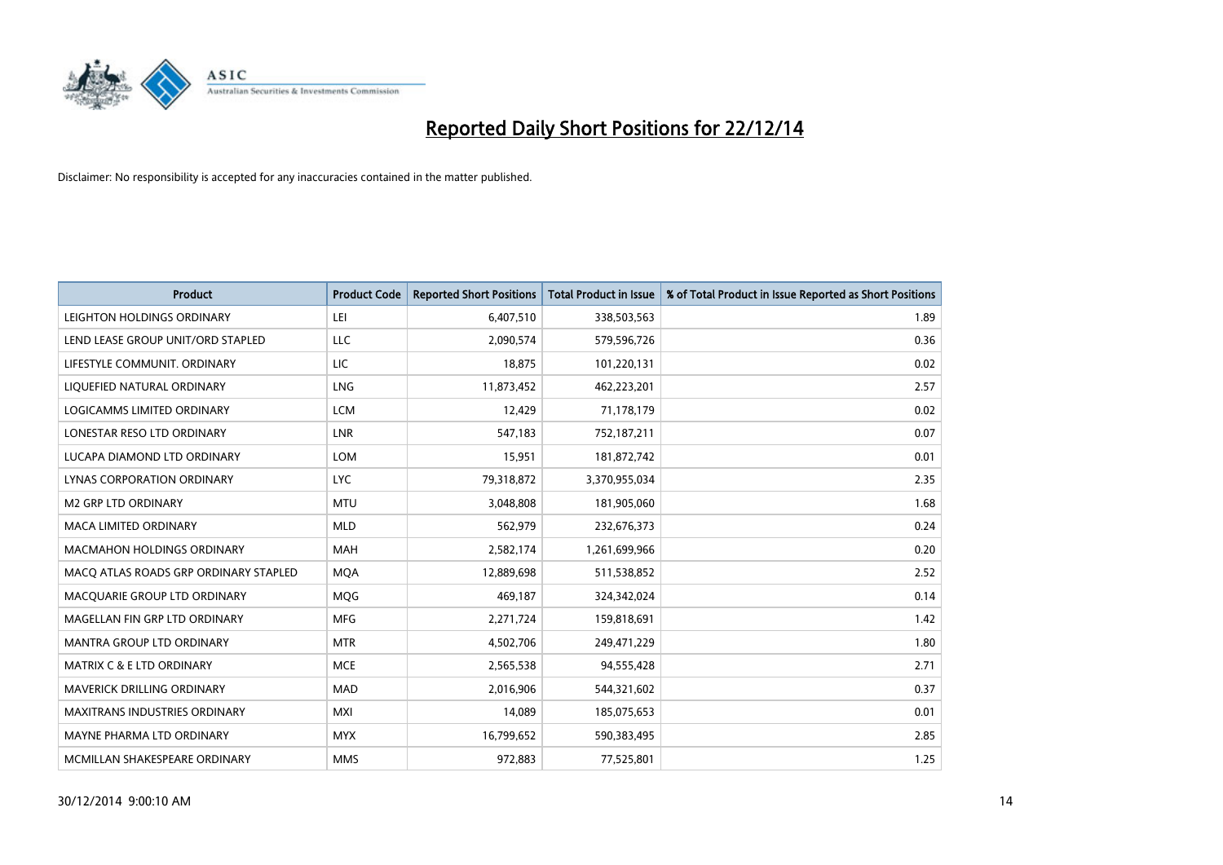

| <b>Product</b>                        | <b>Product Code</b> | <b>Reported Short Positions</b> | <b>Total Product in Issue</b> | % of Total Product in Issue Reported as Short Positions |
|---------------------------------------|---------------------|---------------------------------|-------------------------------|---------------------------------------------------------|
| LEIGHTON HOLDINGS ORDINARY            | LEI                 | 6,407,510                       | 338,503,563                   | 1.89                                                    |
| LEND LEASE GROUP UNIT/ORD STAPLED     | <b>LLC</b>          | 2,090,574                       | 579,596,726                   | 0.36                                                    |
| LIFESTYLE COMMUNIT, ORDINARY          | <b>LIC</b>          | 18,875                          | 101,220,131                   | 0.02                                                    |
| LIQUEFIED NATURAL ORDINARY            | <b>LNG</b>          | 11,873,452                      | 462,223,201                   | 2.57                                                    |
| <b>LOGICAMMS LIMITED ORDINARY</b>     | <b>LCM</b>          | 12,429                          | 71,178,179                    | 0.02                                                    |
| LONESTAR RESO LTD ORDINARY            | <b>LNR</b>          | 547,183                         | 752,187,211                   | 0.07                                                    |
| LUCAPA DIAMOND LTD ORDINARY           | <b>LOM</b>          | 15,951                          | 181,872,742                   | 0.01                                                    |
| LYNAS CORPORATION ORDINARY            | <b>LYC</b>          | 79,318,872                      | 3,370,955,034                 | 2.35                                                    |
| <b>M2 GRP LTD ORDINARY</b>            | <b>MTU</b>          | 3,048,808                       | 181,905,060                   | 1.68                                                    |
| <b>MACA LIMITED ORDINARY</b>          | <b>MLD</b>          | 562,979                         | 232,676,373                   | 0.24                                                    |
| MACMAHON HOLDINGS ORDINARY            | MAH                 | 2,582,174                       | 1,261,699,966                 | 0.20                                                    |
| MACO ATLAS ROADS GRP ORDINARY STAPLED | <b>MQA</b>          | 12,889,698                      | 511,538,852                   | 2.52                                                    |
| MACQUARIE GROUP LTD ORDINARY          | <b>MOG</b>          | 469,187                         | 324,342,024                   | 0.14                                                    |
| MAGELLAN FIN GRP LTD ORDINARY         | <b>MFG</b>          | 2,271,724                       | 159,818,691                   | 1.42                                                    |
| <b>MANTRA GROUP LTD ORDINARY</b>      | <b>MTR</b>          | 4,502,706                       | 249,471,229                   | 1.80                                                    |
| <b>MATRIX C &amp; E LTD ORDINARY</b>  | <b>MCE</b>          | 2,565,538                       | 94,555,428                    | 2.71                                                    |
| MAVERICK DRILLING ORDINARY            | <b>MAD</b>          | 2,016,906                       | 544,321,602                   | 0.37                                                    |
| <b>MAXITRANS INDUSTRIES ORDINARY</b>  | <b>MXI</b>          | 14,089                          | 185,075,653                   | 0.01                                                    |
| MAYNE PHARMA LTD ORDINARY             | <b>MYX</b>          | 16,799,652                      | 590,383,495                   | 2.85                                                    |
| MCMILLAN SHAKESPEARE ORDINARY         | <b>MMS</b>          | 972,883                         | 77,525,801                    | 1.25                                                    |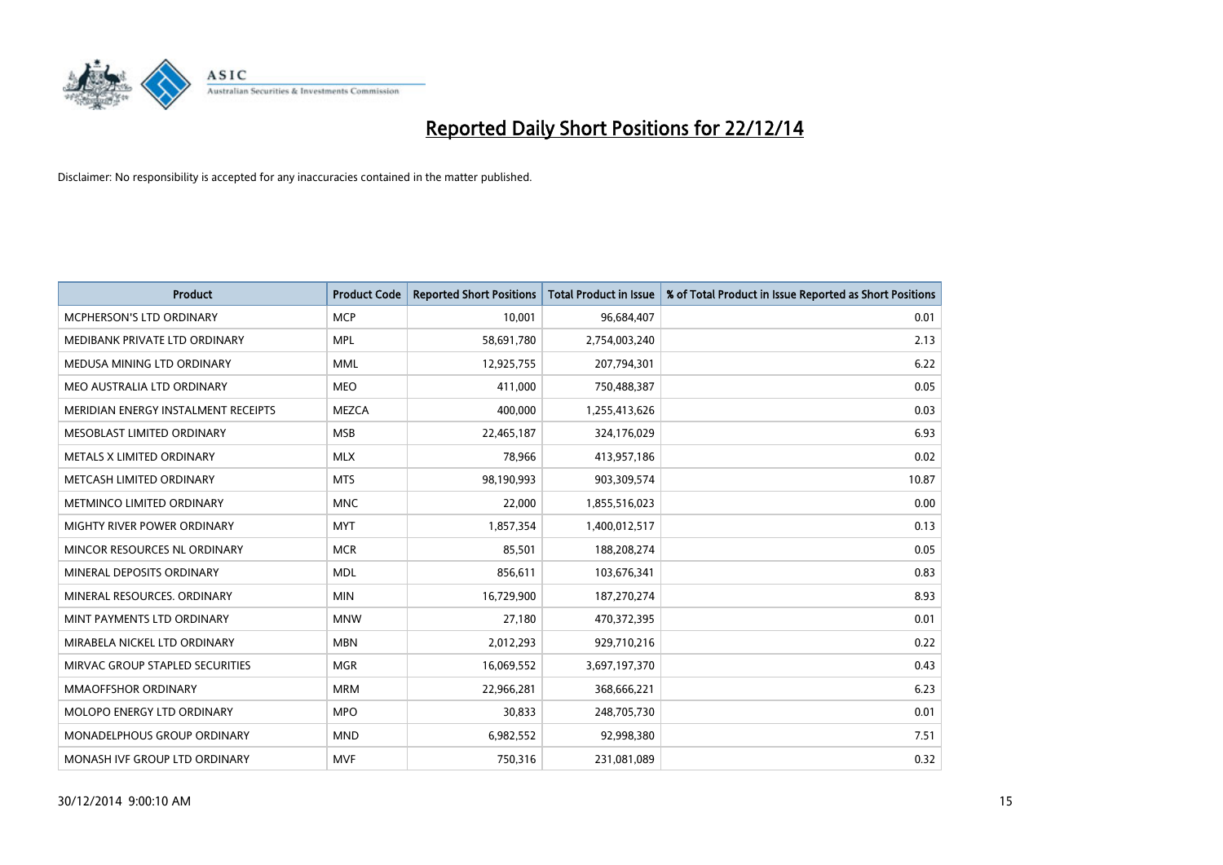

| <b>Product</b>                      | <b>Product Code</b> | <b>Reported Short Positions</b> | <b>Total Product in Issue</b> | % of Total Product in Issue Reported as Short Positions |
|-------------------------------------|---------------------|---------------------------------|-------------------------------|---------------------------------------------------------|
| <b>MCPHERSON'S LTD ORDINARY</b>     | <b>MCP</b>          | 10,001                          | 96,684,407                    | 0.01                                                    |
| MEDIBANK PRIVATE LTD ORDINARY       | <b>MPL</b>          | 58,691,780                      | 2,754,003,240                 | 2.13                                                    |
| MEDUSA MINING LTD ORDINARY          | <b>MML</b>          | 12,925,755                      | 207,794,301                   | 6.22                                                    |
| MEO AUSTRALIA LTD ORDINARY          | <b>MEO</b>          | 411,000                         | 750,488,387                   | 0.05                                                    |
| MERIDIAN ENERGY INSTALMENT RECEIPTS | <b>MEZCA</b>        | 400,000                         | 1,255,413,626                 | 0.03                                                    |
| MESOBLAST LIMITED ORDINARY          | <b>MSB</b>          | 22,465,187                      | 324,176,029                   | 6.93                                                    |
| METALS X LIMITED ORDINARY           | <b>MLX</b>          | 78,966                          | 413,957,186                   | 0.02                                                    |
| METCASH LIMITED ORDINARY            | <b>MTS</b>          | 98,190,993                      | 903,309,574                   | 10.87                                                   |
| METMINCO LIMITED ORDINARY           | <b>MNC</b>          | 22,000                          | 1,855,516,023                 | 0.00                                                    |
| MIGHTY RIVER POWER ORDINARY         | <b>MYT</b>          | 1,857,354                       | 1,400,012,517                 | 0.13                                                    |
| MINCOR RESOURCES NL ORDINARY        | <b>MCR</b>          | 85,501                          | 188,208,274                   | 0.05                                                    |
| MINERAL DEPOSITS ORDINARY           | <b>MDL</b>          | 856,611                         | 103,676,341                   | 0.83                                                    |
| MINERAL RESOURCES. ORDINARY         | <b>MIN</b>          | 16,729,900                      | 187,270,274                   | 8.93                                                    |
| MINT PAYMENTS LTD ORDINARY          | <b>MNW</b>          | 27,180                          | 470,372,395                   | 0.01                                                    |
| MIRABELA NICKEL LTD ORDINARY        | <b>MBN</b>          | 2,012,293                       | 929,710,216                   | 0.22                                                    |
| MIRVAC GROUP STAPLED SECURITIES     | <b>MGR</b>          | 16,069,552                      | 3,697,197,370                 | 0.43                                                    |
| MMAOFFSHOR ORDINARY                 | <b>MRM</b>          | 22,966,281                      | 368,666,221                   | 6.23                                                    |
| MOLOPO ENERGY LTD ORDINARY          | <b>MPO</b>          | 30,833                          | 248,705,730                   | 0.01                                                    |
| MONADELPHOUS GROUP ORDINARY         | <b>MND</b>          | 6,982,552                       | 92,998,380                    | 7.51                                                    |
| MONASH IVF GROUP LTD ORDINARY       | <b>MVF</b>          | 750,316                         | 231,081,089                   | 0.32                                                    |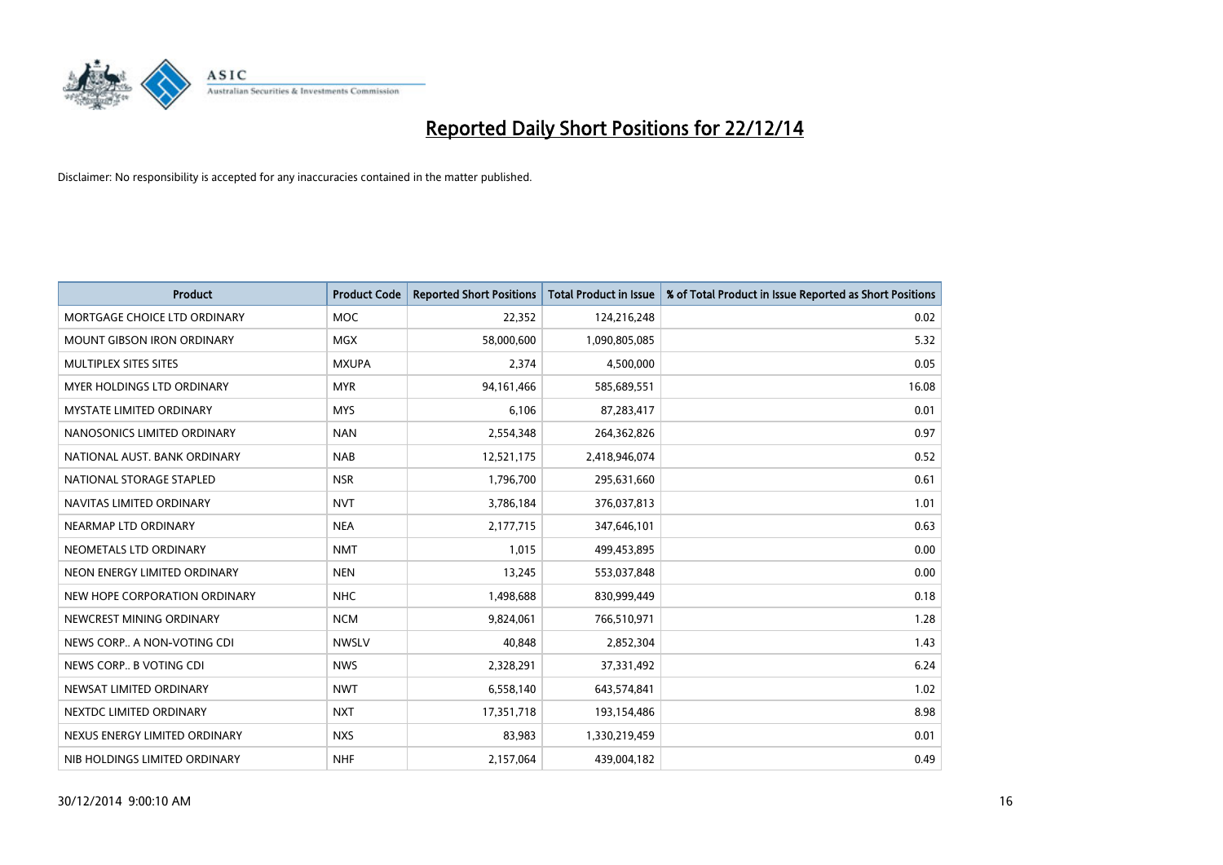

| <b>Product</b>                  | <b>Product Code</b> | <b>Reported Short Positions</b> | <b>Total Product in Issue</b> | % of Total Product in Issue Reported as Short Positions |
|---------------------------------|---------------------|---------------------------------|-------------------------------|---------------------------------------------------------|
| MORTGAGE CHOICE LTD ORDINARY    | <b>MOC</b>          | 22,352                          | 124,216,248                   | 0.02                                                    |
| MOUNT GIBSON IRON ORDINARY      | MGX                 | 58,000,600                      | 1,090,805,085                 | 5.32                                                    |
| MULTIPLEX SITES SITES           | <b>MXUPA</b>        | 2,374                           | 4,500,000                     | 0.05                                                    |
| MYER HOLDINGS LTD ORDINARY      | <b>MYR</b>          | 94, 161, 466                    | 585,689,551                   | 16.08                                                   |
| <b>MYSTATE LIMITED ORDINARY</b> | <b>MYS</b>          | 6,106                           | 87,283,417                    | 0.01                                                    |
| NANOSONICS LIMITED ORDINARY     | <b>NAN</b>          | 2,554,348                       | 264,362,826                   | 0.97                                                    |
| NATIONAL AUST. BANK ORDINARY    | <b>NAB</b>          | 12,521,175                      | 2,418,946,074                 | 0.52                                                    |
| NATIONAL STORAGE STAPLED        | <b>NSR</b>          | 1,796,700                       | 295,631,660                   | 0.61                                                    |
| NAVITAS LIMITED ORDINARY        | <b>NVT</b>          | 3,786,184                       | 376,037,813                   | 1.01                                                    |
| NEARMAP LTD ORDINARY            | <b>NEA</b>          | 2,177,715                       | 347,646,101                   | 0.63                                                    |
| NEOMETALS LTD ORDINARY          | <b>NMT</b>          | 1,015                           | 499,453,895                   | 0.00                                                    |
| NEON ENERGY LIMITED ORDINARY    | <b>NEN</b>          | 13,245                          | 553,037,848                   | 0.00                                                    |
| NEW HOPE CORPORATION ORDINARY   | <b>NHC</b>          | 1,498,688                       | 830,999,449                   | 0.18                                                    |
| NEWCREST MINING ORDINARY        | <b>NCM</b>          | 9,824,061                       | 766,510,971                   | 1.28                                                    |
| NEWS CORP A NON-VOTING CDI      | <b>NWSLV</b>        | 40,848                          | 2,852,304                     | 1.43                                                    |
| NEWS CORP B VOTING CDI          | <b>NWS</b>          | 2,328,291                       | 37,331,492                    | 6.24                                                    |
| NEWSAT LIMITED ORDINARY         | <b>NWT</b>          | 6,558,140                       | 643,574,841                   | 1.02                                                    |
| NEXTDC LIMITED ORDINARY         | <b>NXT</b>          | 17,351,718                      | 193,154,486                   | 8.98                                                    |
| NEXUS ENERGY LIMITED ORDINARY   | <b>NXS</b>          | 83,983                          | 1,330,219,459                 | 0.01                                                    |
| NIB HOLDINGS LIMITED ORDINARY   | <b>NHF</b>          | 2,157,064                       | 439,004,182                   | 0.49                                                    |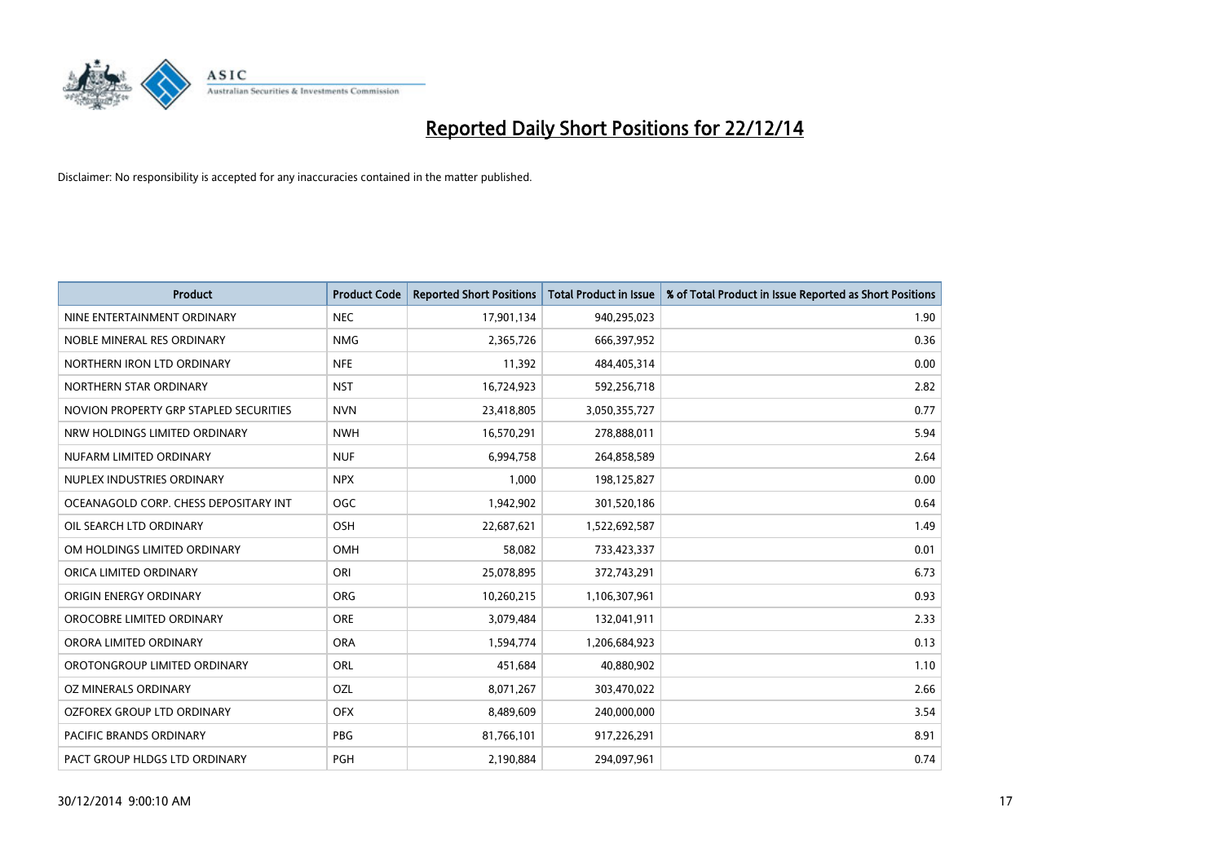

| <b>Product</b>                         | <b>Product Code</b> | <b>Reported Short Positions</b> | <b>Total Product in Issue</b> | % of Total Product in Issue Reported as Short Positions |
|----------------------------------------|---------------------|---------------------------------|-------------------------------|---------------------------------------------------------|
| NINE ENTERTAINMENT ORDINARY            | <b>NEC</b>          | 17,901,134                      | 940,295,023                   | 1.90                                                    |
| NOBLE MINERAL RES ORDINARY             | <b>NMG</b>          | 2,365,726                       | 666,397,952                   | 0.36                                                    |
| NORTHERN IRON LTD ORDINARY             | <b>NFE</b>          | 11,392                          | 484,405,314                   | 0.00                                                    |
| NORTHERN STAR ORDINARY                 | <b>NST</b>          | 16,724,923                      | 592,256,718                   | 2.82                                                    |
| NOVION PROPERTY GRP STAPLED SECURITIES | <b>NVN</b>          | 23,418,805                      | 3,050,355,727                 | 0.77                                                    |
| NRW HOLDINGS LIMITED ORDINARY          | <b>NWH</b>          | 16,570,291                      | 278,888,011                   | 5.94                                                    |
| NUFARM LIMITED ORDINARY                | <b>NUF</b>          | 6,994,758                       | 264,858,589                   | 2.64                                                    |
| NUPLEX INDUSTRIES ORDINARY             | <b>NPX</b>          | 1,000                           | 198,125,827                   | 0.00                                                    |
| OCEANAGOLD CORP. CHESS DEPOSITARY INT  | <b>OGC</b>          | 1,942,902                       | 301,520,186                   | 0.64                                                    |
| OIL SEARCH LTD ORDINARY                | OSH                 | 22,687,621                      | 1,522,692,587                 | 1.49                                                    |
| OM HOLDINGS LIMITED ORDINARY           | <b>OMH</b>          | 58,082                          | 733,423,337                   | 0.01                                                    |
| ORICA LIMITED ORDINARY                 | ORI                 | 25,078,895                      | 372,743,291                   | 6.73                                                    |
| ORIGIN ENERGY ORDINARY                 | <b>ORG</b>          | 10,260,215                      | 1,106,307,961                 | 0.93                                                    |
| OROCOBRE LIMITED ORDINARY              | <b>ORE</b>          | 3,079,484                       | 132,041,911                   | 2.33                                                    |
| ORORA LIMITED ORDINARY                 | <b>ORA</b>          | 1,594,774                       | 1,206,684,923                 | 0.13                                                    |
| OROTONGROUP LIMITED ORDINARY           | ORL                 | 451,684                         | 40,880,902                    | 1.10                                                    |
| OZ MINERALS ORDINARY                   | OZL                 | 8,071,267                       | 303,470,022                   | 2.66                                                    |
| OZFOREX GROUP LTD ORDINARY             | <b>OFX</b>          | 8,489,609                       | 240,000,000                   | 3.54                                                    |
| <b>PACIFIC BRANDS ORDINARY</b>         | <b>PBG</b>          | 81,766,101                      | 917,226,291                   | 8.91                                                    |
| PACT GROUP HLDGS LTD ORDINARY          | PGH                 | 2,190,884                       | 294,097,961                   | 0.74                                                    |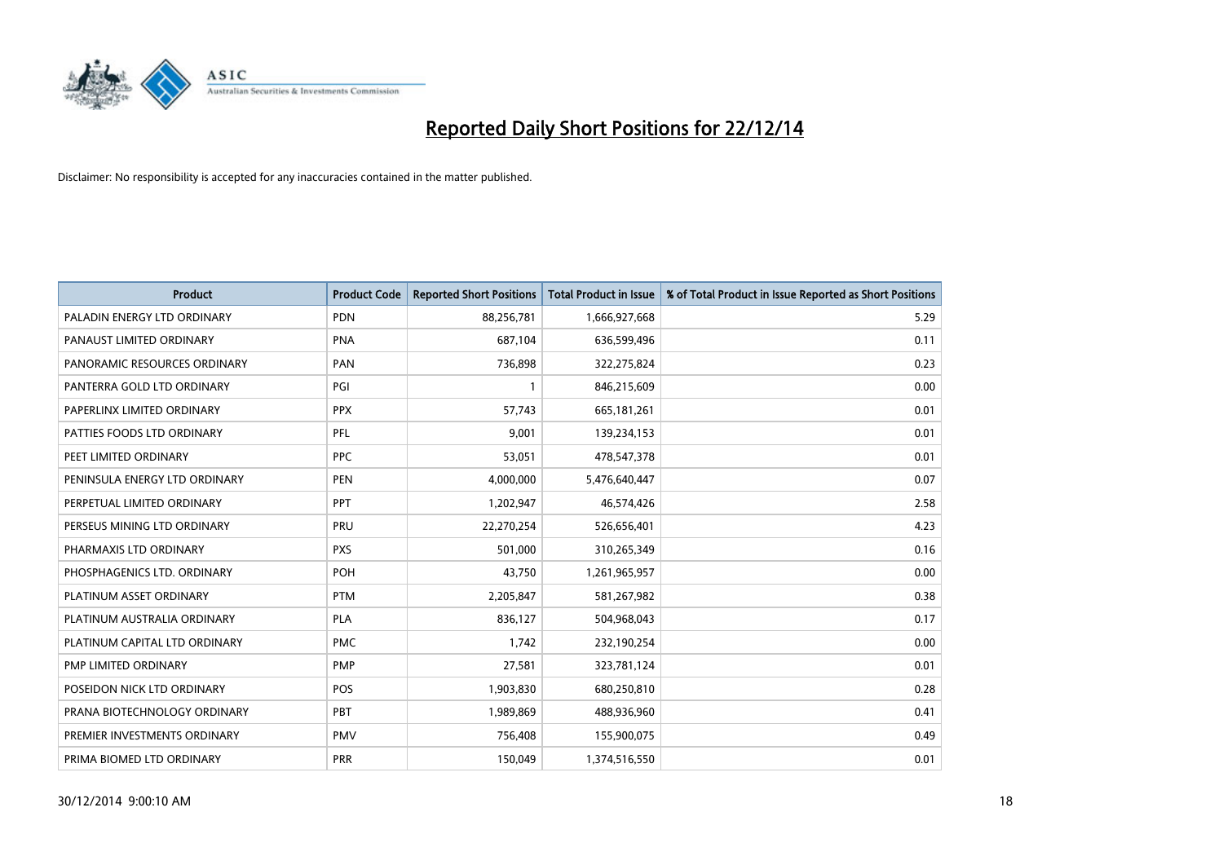

| <b>Product</b>                | <b>Product Code</b> | <b>Reported Short Positions</b> | <b>Total Product in Issue</b> | % of Total Product in Issue Reported as Short Positions |
|-------------------------------|---------------------|---------------------------------|-------------------------------|---------------------------------------------------------|
| PALADIN ENERGY LTD ORDINARY   | <b>PDN</b>          | 88,256,781                      | 1,666,927,668                 | 5.29                                                    |
| PANAUST LIMITED ORDINARY      | <b>PNA</b>          | 687,104                         | 636,599,496                   | 0.11                                                    |
| PANORAMIC RESOURCES ORDINARY  | PAN                 | 736,898                         | 322,275,824                   | 0.23                                                    |
| PANTERRA GOLD LTD ORDINARY    | PGI                 | $\mathbf{1}$                    | 846,215,609                   | 0.00                                                    |
| PAPERLINX LIMITED ORDINARY    | <b>PPX</b>          | 57,743                          | 665,181,261                   | 0.01                                                    |
| PATTIES FOODS LTD ORDINARY    | PFL                 | 9,001                           | 139,234,153                   | 0.01                                                    |
| PEET LIMITED ORDINARY         | <b>PPC</b>          | 53,051                          | 478,547,378                   | 0.01                                                    |
| PENINSULA ENERGY LTD ORDINARY | <b>PEN</b>          | 4,000,000                       | 5,476,640,447                 | 0.07                                                    |
| PERPETUAL LIMITED ORDINARY    | PPT                 | 1,202,947                       | 46,574,426                    | 2.58                                                    |
| PERSEUS MINING LTD ORDINARY   | <b>PRU</b>          | 22,270,254                      | 526,656,401                   | 4.23                                                    |
| PHARMAXIS LTD ORDINARY        | <b>PXS</b>          | 501,000                         | 310,265,349                   | 0.16                                                    |
| PHOSPHAGENICS LTD. ORDINARY   | <b>POH</b>          | 43,750                          | 1,261,965,957                 | 0.00                                                    |
| PLATINUM ASSET ORDINARY       | <b>PTM</b>          | 2,205,847                       | 581,267,982                   | 0.38                                                    |
| PLATINUM AUSTRALIA ORDINARY   | <b>PLA</b>          | 836,127                         | 504,968,043                   | 0.17                                                    |
| PLATINUM CAPITAL LTD ORDINARY | <b>PMC</b>          | 1,742                           | 232,190,254                   | 0.00                                                    |
| PMP LIMITED ORDINARY          | <b>PMP</b>          | 27,581                          | 323,781,124                   | 0.01                                                    |
| POSEIDON NICK LTD ORDINARY    | POS                 | 1,903,830                       | 680,250,810                   | 0.28                                                    |
| PRANA BIOTECHNOLOGY ORDINARY  | PBT                 | 1,989,869                       | 488,936,960                   | 0.41                                                    |
| PREMIER INVESTMENTS ORDINARY  | <b>PMV</b>          | 756,408                         | 155,900,075                   | 0.49                                                    |
| PRIMA BIOMED LTD ORDINARY     | <b>PRR</b>          | 150,049                         | 1,374,516,550                 | 0.01                                                    |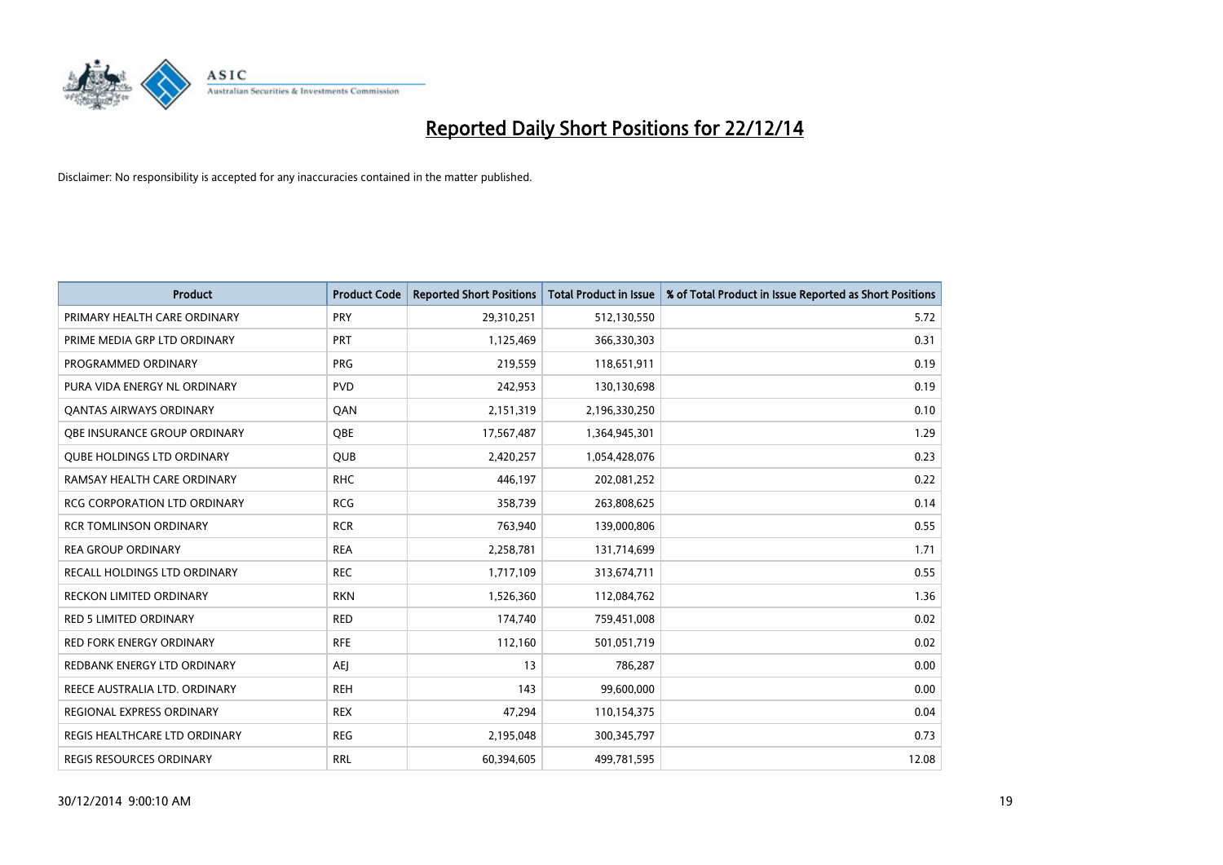

| <b>Product</b>                      | <b>Product Code</b> | <b>Reported Short Positions</b> | <b>Total Product in Issue</b> | % of Total Product in Issue Reported as Short Positions |
|-------------------------------------|---------------------|---------------------------------|-------------------------------|---------------------------------------------------------|
| PRIMARY HEALTH CARE ORDINARY        | PRY                 | 29,310,251                      | 512,130,550                   | 5.72                                                    |
| PRIME MEDIA GRP LTD ORDINARY        | PRT                 | 1,125,469                       | 366,330,303                   | 0.31                                                    |
| PROGRAMMED ORDINARY                 | <b>PRG</b>          | 219,559                         | 118,651,911                   | 0.19                                                    |
| PURA VIDA ENERGY NL ORDINARY        | <b>PVD</b>          | 242,953                         | 130,130,698                   | 0.19                                                    |
| OANTAS AIRWAYS ORDINARY             | QAN                 | 2,151,319                       | 2,196,330,250                 | 0.10                                                    |
| OBE INSURANCE GROUP ORDINARY        | <b>OBE</b>          | 17,567,487                      | 1,364,945,301                 | 1.29                                                    |
| <b>QUBE HOLDINGS LTD ORDINARY</b>   | <b>QUB</b>          | 2,420,257                       | 1,054,428,076                 | 0.23                                                    |
| RAMSAY HEALTH CARE ORDINARY         | <b>RHC</b>          | 446,197                         | 202,081,252                   | 0.22                                                    |
| <b>RCG CORPORATION LTD ORDINARY</b> | <b>RCG</b>          | 358,739                         | 263,808,625                   | 0.14                                                    |
| <b>RCR TOMLINSON ORDINARY</b>       | <b>RCR</b>          | 763,940                         | 139,000,806                   | 0.55                                                    |
| REA GROUP ORDINARY                  | <b>REA</b>          | 2,258,781                       | 131,714,699                   | 1.71                                                    |
| RECALL HOLDINGS LTD ORDINARY        | <b>REC</b>          | 1,717,109                       | 313,674,711                   | 0.55                                                    |
| <b>RECKON LIMITED ORDINARY</b>      | <b>RKN</b>          | 1,526,360                       | 112,084,762                   | 1.36                                                    |
| <b>RED 5 LIMITED ORDINARY</b>       | <b>RED</b>          | 174,740                         | 759,451,008                   | 0.02                                                    |
| <b>RED FORK ENERGY ORDINARY</b>     | <b>RFE</b>          | 112,160                         | 501,051,719                   | 0.02                                                    |
| REDBANK ENERGY LTD ORDINARY         | AEJ                 | 13                              | 786,287                       | 0.00                                                    |
| REECE AUSTRALIA LTD. ORDINARY       | <b>REH</b>          | 143                             | 99,600,000                    | 0.00                                                    |
| REGIONAL EXPRESS ORDINARY           | <b>REX</b>          | 47,294                          | 110,154,375                   | 0.04                                                    |
| REGIS HEALTHCARE LTD ORDINARY       | <b>REG</b>          | 2,195,048                       | 300,345,797                   | 0.73                                                    |
| REGIS RESOURCES ORDINARY            | <b>RRL</b>          | 60,394,605                      | 499,781,595                   | 12.08                                                   |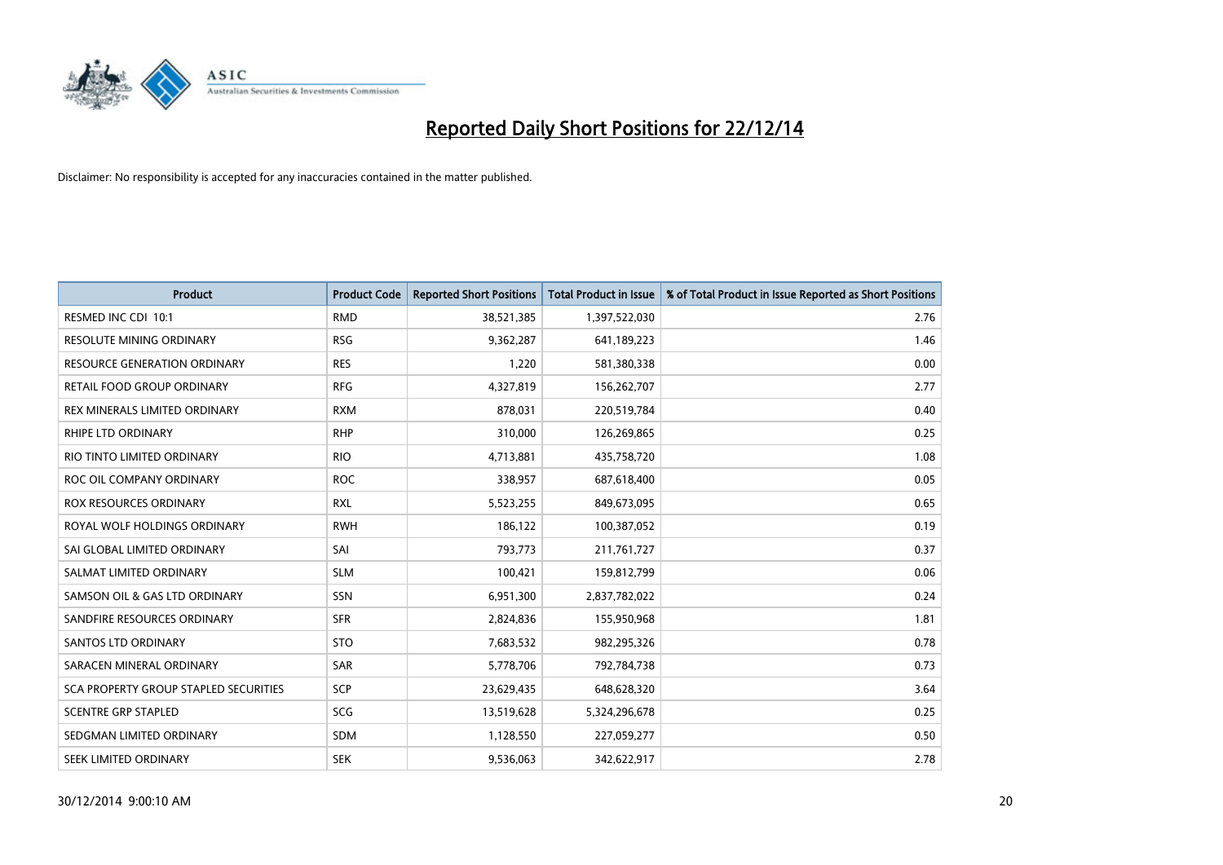

| <b>Product</b>                        | <b>Product Code</b> | <b>Reported Short Positions</b> | <b>Total Product in Issue</b> | % of Total Product in Issue Reported as Short Positions |
|---------------------------------------|---------------------|---------------------------------|-------------------------------|---------------------------------------------------------|
| RESMED INC CDI 10:1                   | <b>RMD</b>          | 38,521,385                      | 1,397,522,030                 | 2.76                                                    |
| RESOLUTE MINING ORDINARY              | <b>RSG</b>          | 9,362,287                       | 641,189,223                   | 1.46                                                    |
| RESOURCE GENERATION ORDINARY          | <b>RES</b>          | 1,220                           | 581,380,338                   | 0.00                                                    |
| RETAIL FOOD GROUP ORDINARY            | <b>RFG</b>          | 4,327,819                       | 156,262,707                   | 2.77                                                    |
| REX MINERALS LIMITED ORDINARY         | <b>RXM</b>          | 878,031                         | 220,519,784                   | 0.40                                                    |
| RHIPE LTD ORDINARY                    | <b>RHP</b>          | 310,000                         | 126,269,865                   | 0.25                                                    |
| RIO TINTO LIMITED ORDINARY            | <b>RIO</b>          | 4,713,881                       | 435,758,720                   | 1.08                                                    |
| ROC OIL COMPANY ORDINARY              | <b>ROC</b>          | 338,957                         | 687,618,400                   | 0.05                                                    |
| <b>ROX RESOURCES ORDINARY</b>         | <b>RXL</b>          | 5,523,255                       | 849,673,095                   | 0.65                                                    |
| ROYAL WOLF HOLDINGS ORDINARY          | <b>RWH</b>          | 186,122                         | 100,387,052                   | 0.19                                                    |
| SAI GLOBAL LIMITED ORDINARY           | SAI                 | 793,773                         | 211,761,727                   | 0.37                                                    |
| SALMAT LIMITED ORDINARY               | <b>SLM</b>          | 100,421                         | 159,812,799                   | 0.06                                                    |
| SAMSON OIL & GAS LTD ORDINARY         | SSN                 | 6,951,300                       | 2,837,782,022                 | 0.24                                                    |
| SANDFIRE RESOURCES ORDINARY           | <b>SFR</b>          | 2,824,836                       | 155,950,968                   | 1.81                                                    |
| SANTOS LTD ORDINARY                   | <b>STO</b>          | 7,683,532                       | 982,295,326                   | 0.78                                                    |
| SARACEN MINERAL ORDINARY              | SAR                 | 5,778,706                       | 792,784,738                   | 0.73                                                    |
| SCA PROPERTY GROUP STAPLED SECURITIES | SCP                 | 23,629,435                      | 648,628,320                   | 3.64                                                    |
| <b>SCENTRE GRP STAPLED</b>            | <b>SCG</b>          | 13,519,628                      | 5,324,296,678                 | 0.25                                                    |
| SEDGMAN LIMITED ORDINARY              | <b>SDM</b>          | 1,128,550                       | 227,059,277                   | 0.50                                                    |
| SEEK LIMITED ORDINARY                 | <b>SEK</b>          | 9,536,063                       | 342,622,917                   | 2.78                                                    |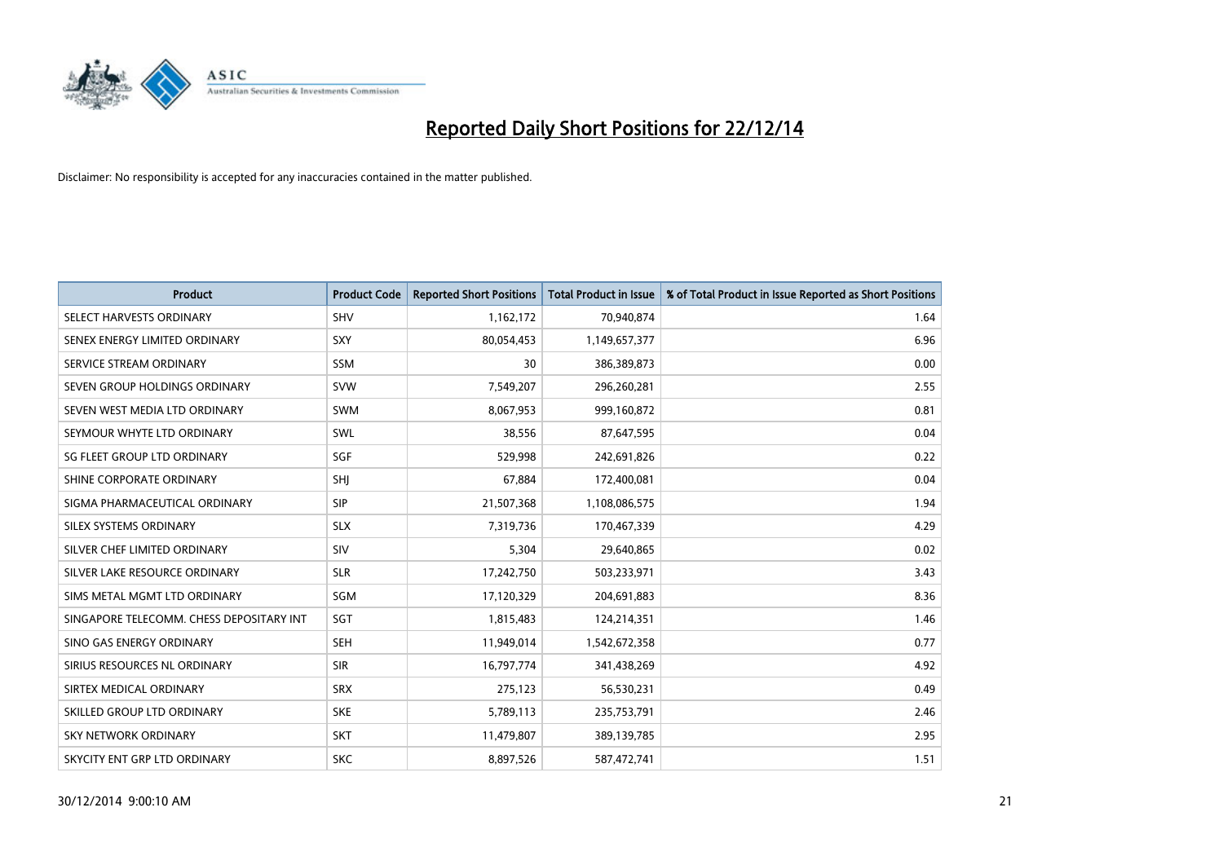

| <b>Product</b>                           | <b>Product Code</b> | <b>Reported Short Positions</b> | <b>Total Product in Issue</b> | % of Total Product in Issue Reported as Short Positions |
|------------------------------------------|---------------------|---------------------------------|-------------------------------|---------------------------------------------------------|
| SELECT HARVESTS ORDINARY                 | <b>SHV</b>          | 1,162,172                       | 70,940,874                    | 1.64                                                    |
| SENEX ENERGY LIMITED ORDINARY            | SXY                 | 80,054,453                      | 1,149,657,377                 | 6.96                                                    |
| SERVICE STREAM ORDINARY                  | SSM                 | 30                              | 386,389,873                   | 0.00                                                    |
| SEVEN GROUP HOLDINGS ORDINARY            | <b>SVW</b>          | 7,549,207                       | 296,260,281                   | 2.55                                                    |
| SEVEN WEST MEDIA LTD ORDINARY            | <b>SWM</b>          | 8,067,953                       | 999,160,872                   | 0.81                                                    |
| SEYMOUR WHYTE LTD ORDINARY               | <b>SWL</b>          | 38,556                          | 87,647,595                    | 0.04                                                    |
| SG FLEET GROUP LTD ORDINARY              | SGF                 | 529,998                         | 242,691,826                   | 0.22                                                    |
| SHINE CORPORATE ORDINARY                 | <b>SHI</b>          | 67,884                          | 172,400,081                   | 0.04                                                    |
| SIGMA PHARMACEUTICAL ORDINARY            | <b>SIP</b>          | 21,507,368                      | 1,108,086,575                 | 1.94                                                    |
| SILEX SYSTEMS ORDINARY                   | <b>SLX</b>          | 7,319,736                       | 170,467,339                   | 4.29                                                    |
| SILVER CHEF LIMITED ORDINARY             | SIV                 | 5,304                           | 29,640,865                    | 0.02                                                    |
| SILVER LAKE RESOURCE ORDINARY            | <b>SLR</b>          | 17,242,750                      | 503,233,971                   | 3.43                                                    |
| SIMS METAL MGMT LTD ORDINARY             | SGM                 | 17,120,329                      | 204,691,883                   | 8.36                                                    |
| SINGAPORE TELECOMM. CHESS DEPOSITARY INT | SGT                 | 1,815,483                       | 124,214,351                   | 1.46                                                    |
| SINO GAS ENERGY ORDINARY                 | <b>SEH</b>          | 11,949,014                      | 1,542,672,358                 | 0.77                                                    |
| SIRIUS RESOURCES NL ORDINARY             | <b>SIR</b>          | 16,797,774                      | 341,438,269                   | 4.92                                                    |
| SIRTEX MEDICAL ORDINARY                  | <b>SRX</b>          | 275,123                         | 56,530,231                    | 0.49                                                    |
| SKILLED GROUP LTD ORDINARY               | <b>SKE</b>          | 5,789,113                       | 235,753,791                   | 2.46                                                    |
| <b>SKY NETWORK ORDINARY</b>              | <b>SKT</b>          | 11,479,807                      | 389,139,785                   | 2.95                                                    |
| SKYCITY ENT GRP LTD ORDINARY             | <b>SKC</b>          | 8,897,526                       | 587,472,741                   | 1.51                                                    |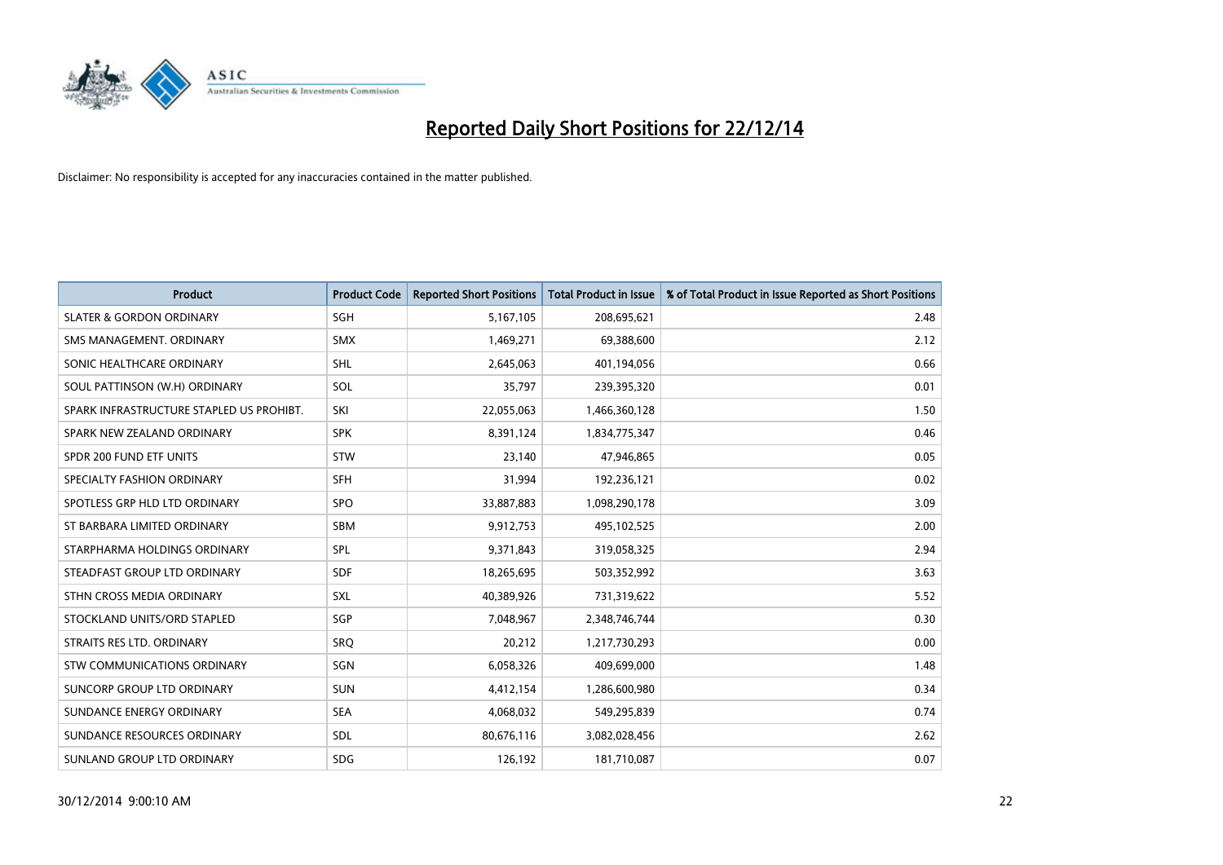

| <b>Product</b>                           | <b>Product Code</b> | <b>Reported Short Positions</b> | <b>Total Product in Issue</b> | % of Total Product in Issue Reported as Short Positions |
|------------------------------------------|---------------------|---------------------------------|-------------------------------|---------------------------------------------------------|
| <b>SLATER &amp; GORDON ORDINARY</b>      | SGH                 | 5,167,105                       | 208,695,621                   | 2.48                                                    |
| SMS MANAGEMENT. ORDINARY                 | <b>SMX</b>          | 1,469,271                       | 69,388,600                    | 2.12                                                    |
| SONIC HEALTHCARE ORDINARY                | <b>SHL</b>          | 2,645,063                       | 401,194,056                   | 0.66                                                    |
| SOUL PATTINSON (W.H) ORDINARY            | <b>SOL</b>          | 35,797                          | 239,395,320                   | 0.01                                                    |
| SPARK INFRASTRUCTURE STAPLED US PROHIBT. | SKI                 | 22,055,063                      | 1,466,360,128                 | 1.50                                                    |
| SPARK NEW ZEALAND ORDINARY               | <b>SPK</b>          | 8,391,124                       | 1,834,775,347                 | 0.46                                                    |
| SPDR 200 FUND ETF UNITS                  | <b>STW</b>          | 23,140                          | 47,946,865                    | 0.05                                                    |
| SPECIALTY FASHION ORDINARY               | <b>SFH</b>          | 31,994                          | 192,236,121                   | 0.02                                                    |
| SPOTLESS GRP HLD LTD ORDINARY            | <b>SPO</b>          | 33,887,883                      | 1,098,290,178                 | 3.09                                                    |
| ST BARBARA LIMITED ORDINARY              | <b>SBM</b>          | 9,912,753                       | 495,102,525                   | 2.00                                                    |
| STARPHARMA HOLDINGS ORDINARY             | <b>SPL</b>          | 9,371,843                       | 319,058,325                   | 2.94                                                    |
| STEADFAST GROUP LTD ORDINARY             | <b>SDF</b>          | 18,265,695                      | 503,352,992                   | 3.63                                                    |
| STHN CROSS MEDIA ORDINARY                | SXL                 | 40,389,926                      | 731,319,622                   | 5.52                                                    |
| STOCKLAND UNITS/ORD STAPLED              | SGP                 | 7,048,967                       | 2,348,746,744                 | 0.30                                                    |
| STRAITS RES LTD. ORDINARY                | SRQ                 | 20,212                          | 1,217,730,293                 | 0.00                                                    |
| STW COMMUNICATIONS ORDINARY              | SGN                 | 6,058,326                       | 409,699,000                   | 1.48                                                    |
| SUNCORP GROUP LTD ORDINARY               | <b>SUN</b>          | 4,412,154                       | 1,286,600,980                 | 0.34                                                    |
| SUNDANCE ENERGY ORDINARY                 | <b>SEA</b>          | 4,068,032                       | 549,295,839                   | 0.74                                                    |
| SUNDANCE RESOURCES ORDINARY              | <b>SDL</b>          | 80,676,116                      | 3,082,028,456                 | 2.62                                                    |
| SUNLAND GROUP LTD ORDINARY               | <b>SDG</b>          | 126,192                         | 181,710,087                   | 0.07                                                    |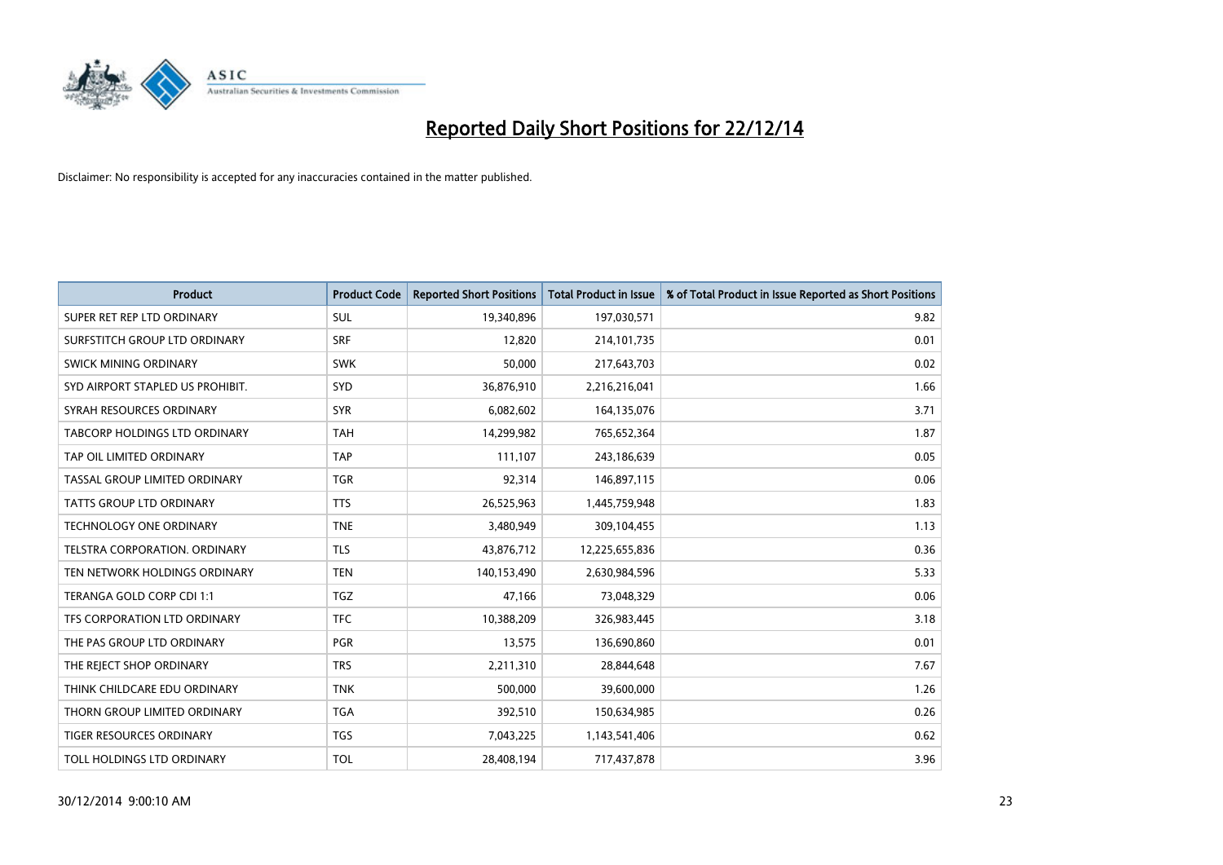

| <b>Product</b>                       | <b>Product Code</b> | <b>Reported Short Positions</b> | <b>Total Product in Issue</b> | % of Total Product in Issue Reported as Short Positions |
|--------------------------------------|---------------------|---------------------------------|-------------------------------|---------------------------------------------------------|
| SUPER RET REP LTD ORDINARY           | <b>SUL</b>          | 19,340,896                      | 197,030,571                   | 9.82                                                    |
| SURFSTITCH GROUP LTD ORDINARY        | <b>SRF</b>          | 12,820                          | 214,101,735                   | 0.01                                                    |
| <b>SWICK MINING ORDINARY</b>         | <b>SWK</b>          | 50,000                          | 217,643,703                   | 0.02                                                    |
| SYD AIRPORT STAPLED US PROHIBIT.     | <b>SYD</b>          | 36,876,910                      | 2,216,216,041                 | 1.66                                                    |
| SYRAH RESOURCES ORDINARY             | <b>SYR</b>          | 6,082,602                       | 164,135,076                   | 3.71                                                    |
| <b>TABCORP HOLDINGS LTD ORDINARY</b> | <b>TAH</b>          | 14,299,982                      | 765,652,364                   | 1.87                                                    |
| TAP OIL LIMITED ORDINARY             | <b>TAP</b>          | 111,107                         | 243,186,639                   | 0.05                                                    |
| TASSAL GROUP LIMITED ORDINARY        | <b>TGR</b>          | 92,314                          | 146,897,115                   | 0.06                                                    |
| <b>TATTS GROUP LTD ORDINARY</b>      | <b>TTS</b>          | 26,525,963                      | 1,445,759,948                 | 1.83                                                    |
| <b>TECHNOLOGY ONE ORDINARY</b>       | <b>TNE</b>          | 3,480,949                       | 309,104,455                   | 1.13                                                    |
| TELSTRA CORPORATION. ORDINARY        | <b>TLS</b>          | 43,876,712                      | 12,225,655,836                | 0.36                                                    |
| TEN NETWORK HOLDINGS ORDINARY        | <b>TEN</b>          | 140,153,490                     | 2,630,984,596                 | 5.33                                                    |
| TERANGA GOLD CORP CDI 1:1            | TGZ                 | 47,166                          | 73,048,329                    | 0.06                                                    |
| TFS CORPORATION LTD ORDINARY         | <b>TFC</b>          | 10,388,209                      | 326,983,445                   | 3.18                                                    |
| THE PAS GROUP LTD ORDINARY           | <b>PGR</b>          | 13,575                          | 136,690,860                   | 0.01                                                    |
| THE REJECT SHOP ORDINARY             | <b>TRS</b>          | 2,211,310                       | 28,844,648                    | 7.67                                                    |
| THINK CHILDCARE EDU ORDINARY         | <b>TNK</b>          | 500,000                         | 39,600,000                    | 1.26                                                    |
| THORN GROUP LIMITED ORDINARY         | <b>TGA</b>          | 392,510                         | 150,634,985                   | 0.26                                                    |
| TIGER RESOURCES ORDINARY             | <b>TGS</b>          | 7,043,225                       | 1,143,541,406                 | 0.62                                                    |
| TOLL HOLDINGS LTD ORDINARY           | <b>TOL</b>          | 28,408,194                      | 717,437,878                   | 3.96                                                    |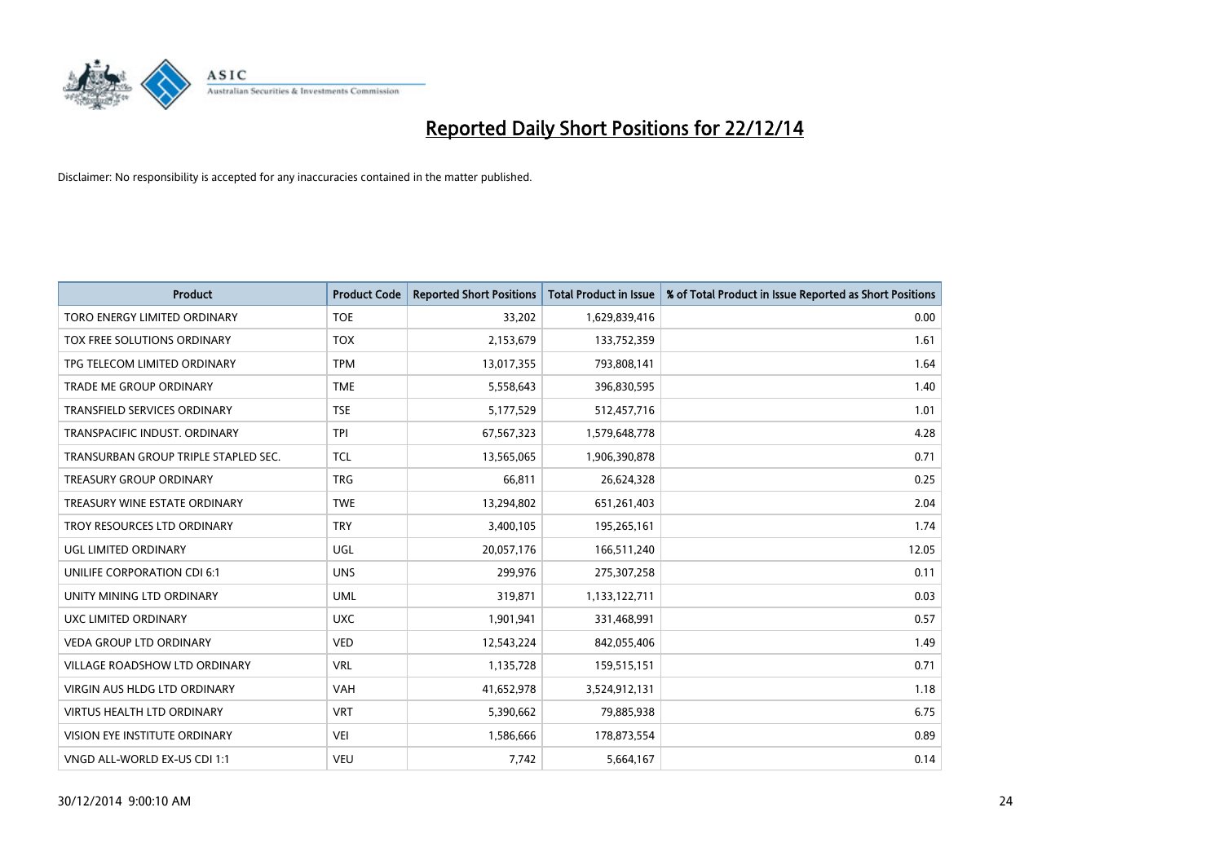

| <b>Product</b>                       | <b>Product Code</b> | <b>Reported Short Positions</b> | <b>Total Product in Issue</b> | % of Total Product in Issue Reported as Short Positions |
|--------------------------------------|---------------------|---------------------------------|-------------------------------|---------------------------------------------------------|
| TORO ENERGY LIMITED ORDINARY         | <b>TOE</b>          | 33,202                          | 1,629,839,416                 | 0.00                                                    |
| TOX FREE SOLUTIONS ORDINARY          | <b>TOX</b>          | 2,153,679                       | 133,752,359                   | 1.61                                                    |
| TPG TELECOM LIMITED ORDINARY         | <b>TPM</b>          | 13,017,355                      | 793,808,141                   | 1.64                                                    |
| TRADE ME GROUP ORDINARY              | <b>TME</b>          | 5,558,643                       | 396,830,595                   | 1.40                                                    |
| <b>TRANSFIELD SERVICES ORDINARY</b>  | <b>TSE</b>          | 5,177,529                       | 512,457,716                   | 1.01                                                    |
| TRANSPACIFIC INDUST, ORDINARY        | <b>TPI</b>          | 67,567,323                      | 1,579,648,778                 | 4.28                                                    |
| TRANSURBAN GROUP TRIPLE STAPLED SEC. | <b>TCL</b>          | 13,565,065                      | 1,906,390,878                 | 0.71                                                    |
| TREASURY GROUP ORDINARY              | <b>TRG</b>          | 66,811                          | 26,624,328                    | 0.25                                                    |
| TREASURY WINE ESTATE ORDINARY        | <b>TWE</b>          | 13,294,802                      | 651,261,403                   | 2.04                                                    |
| TROY RESOURCES LTD ORDINARY          | <b>TRY</b>          | 3,400,105                       | 195,265,161                   | 1.74                                                    |
| UGL LIMITED ORDINARY                 | UGL                 | 20,057,176                      | 166,511,240                   | 12.05                                                   |
| UNILIFE CORPORATION CDI 6:1          | <b>UNS</b>          | 299,976                         | 275,307,258                   | 0.11                                                    |
| UNITY MINING LTD ORDINARY            | <b>UML</b>          | 319,871                         | 1,133,122,711                 | 0.03                                                    |
| <b>UXC LIMITED ORDINARY</b>          | <b>UXC</b>          | 1,901,941                       | 331,468,991                   | 0.57                                                    |
| <b>VEDA GROUP LTD ORDINARY</b>       | <b>VED</b>          | 12,543,224                      | 842,055,406                   | 1.49                                                    |
| VILLAGE ROADSHOW LTD ORDINARY        | <b>VRL</b>          | 1,135,728                       | 159,515,151                   | 0.71                                                    |
| VIRGIN AUS HLDG LTD ORDINARY         | <b>VAH</b>          | 41,652,978                      | 3,524,912,131                 | 1.18                                                    |
| <b>VIRTUS HEALTH LTD ORDINARY</b>    | <b>VRT</b>          | 5,390,662                       | 79,885,938                    | 6.75                                                    |
| VISION EYE INSTITUTE ORDINARY        | <b>VEI</b>          | 1,586,666                       | 178,873,554                   | 0.89                                                    |
| VNGD ALL-WORLD EX-US CDI 1:1         | <b>VEU</b>          | 7,742                           | 5,664,167                     | 0.14                                                    |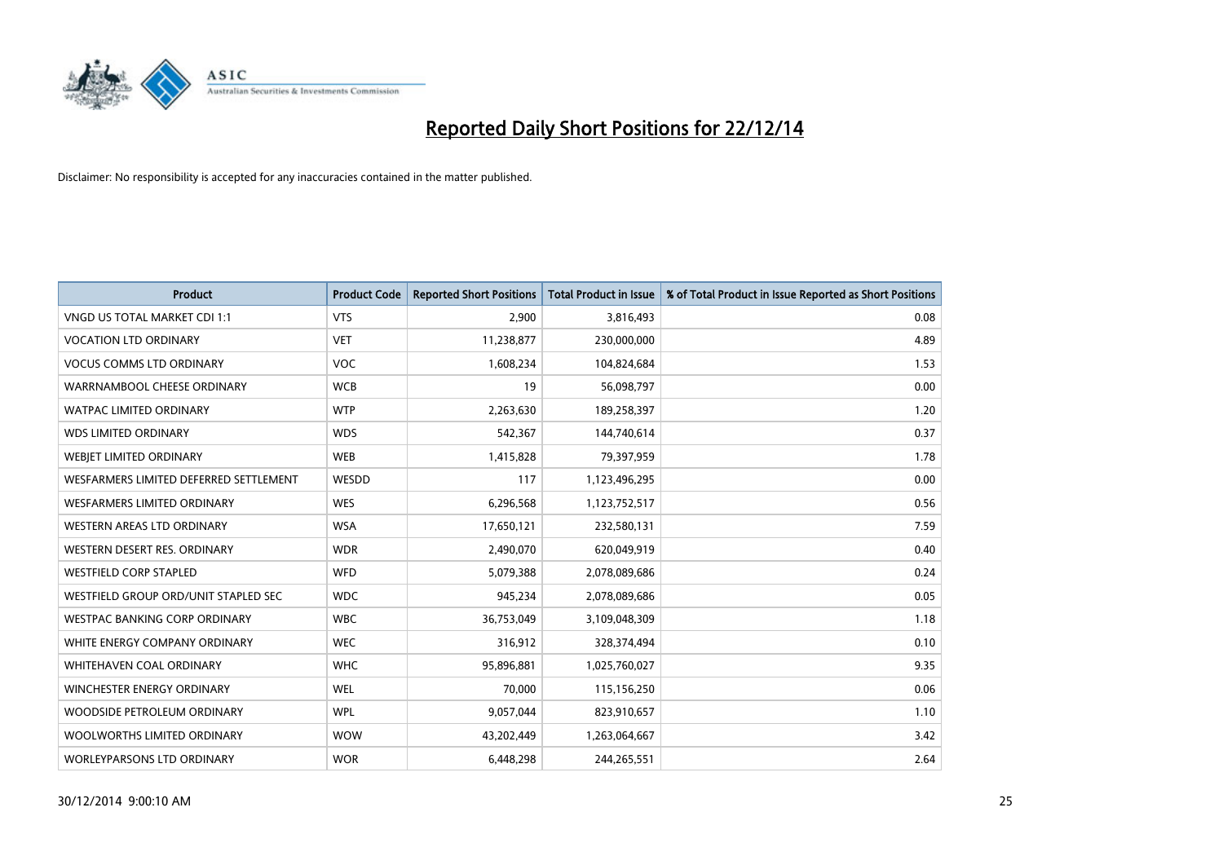

| <b>Product</b>                         | <b>Product Code</b> | <b>Reported Short Positions</b> | <b>Total Product in Issue</b> | % of Total Product in Issue Reported as Short Positions |
|----------------------------------------|---------------------|---------------------------------|-------------------------------|---------------------------------------------------------|
| VNGD US TOTAL MARKET CDI 1:1           | <b>VTS</b>          | 2,900                           | 3,816,493                     | 0.08                                                    |
| <b>VOCATION LTD ORDINARY</b>           | <b>VET</b>          | 11,238,877                      | 230,000,000                   | 4.89                                                    |
| <b>VOCUS COMMS LTD ORDINARY</b>        | <b>VOC</b>          | 1,608,234                       | 104,824,684                   | 1.53                                                    |
| WARRNAMBOOL CHEESE ORDINARY            | <b>WCB</b>          | 19                              | 56,098,797                    | 0.00                                                    |
| <b>WATPAC LIMITED ORDINARY</b>         | <b>WTP</b>          | 2,263,630                       | 189,258,397                   | 1.20                                                    |
| <b>WDS LIMITED ORDINARY</b>            | <b>WDS</b>          | 542,367                         | 144,740,614                   | 0.37                                                    |
| <b>WEBIET LIMITED ORDINARY</b>         | <b>WEB</b>          | 1,415,828                       | 79,397,959                    | 1.78                                                    |
| WESFARMERS LIMITED DEFERRED SETTLEMENT | WESDD               | 117                             | 1,123,496,295                 | 0.00                                                    |
| <b>WESFARMERS LIMITED ORDINARY</b>     | <b>WES</b>          | 6,296,568                       | 1,123,752,517                 | 0.56                                                    |
| WESTERN AREAS LTD ORDINARY             | <b>WSA</b>          | 17,650,121                      | 232,580,131                   | 7.59                                                    |
| WESTERN DESERT RES. ORDINARY           | <b>WDR</b>          | 2,490,070                       | 620,049,919                   | 0.40                                                    |
| <b>WESTFIELD CORP STAPLED</b>          | <b>WFD</b>          | 5,079,388                       | 2,078,089,686                 | 0.24                                                    |
| WESTFIELD GROUP ORD/UNIT STAPLED SEC   | <b>WDC</b>          | 945,234                         | 2,078,089,686                 | 0.05                                                    |
| <b>WESTPAC BANKING CORP ORDINARY</b>   | <b>WBC</b>          | 36,753,049                      | 3,109,048,309                 | 1.18                                                    |
| WHITE ENERGY COMPANY ORDINARY          | <b>WEC</b>          | 316,912                         | 328,374,494                   | 0.10                                                    |
| WHITEHAVEN COAL ORDINARY               | <b>WHC</b>          | 95,896,881                      | 1,025,760,027                 | 9.35                                                    |
| WINCHESTER ENERGY ORDINARY             | <b>WEL</b>          | 70,000                          | 115,156,250                   | 0.06                                                    |
| WOODSIDE PETROLEUM ORDINARY            | <b>WPL</b>          | 9,057,044                       | 823,910,657                   | 1.10                                                    |
| WOOLWORTHS LIMITED ORDINARY            | <b>WOW</b>          | 43,202,449                      | 1,263,064,667                 | 3.42                                                    |
| WORLEYPARSONS LTD ORDINARY             | <b>WOR</b>          | 6,448,298                       | 244,265,551                   | 2.64                                                    |